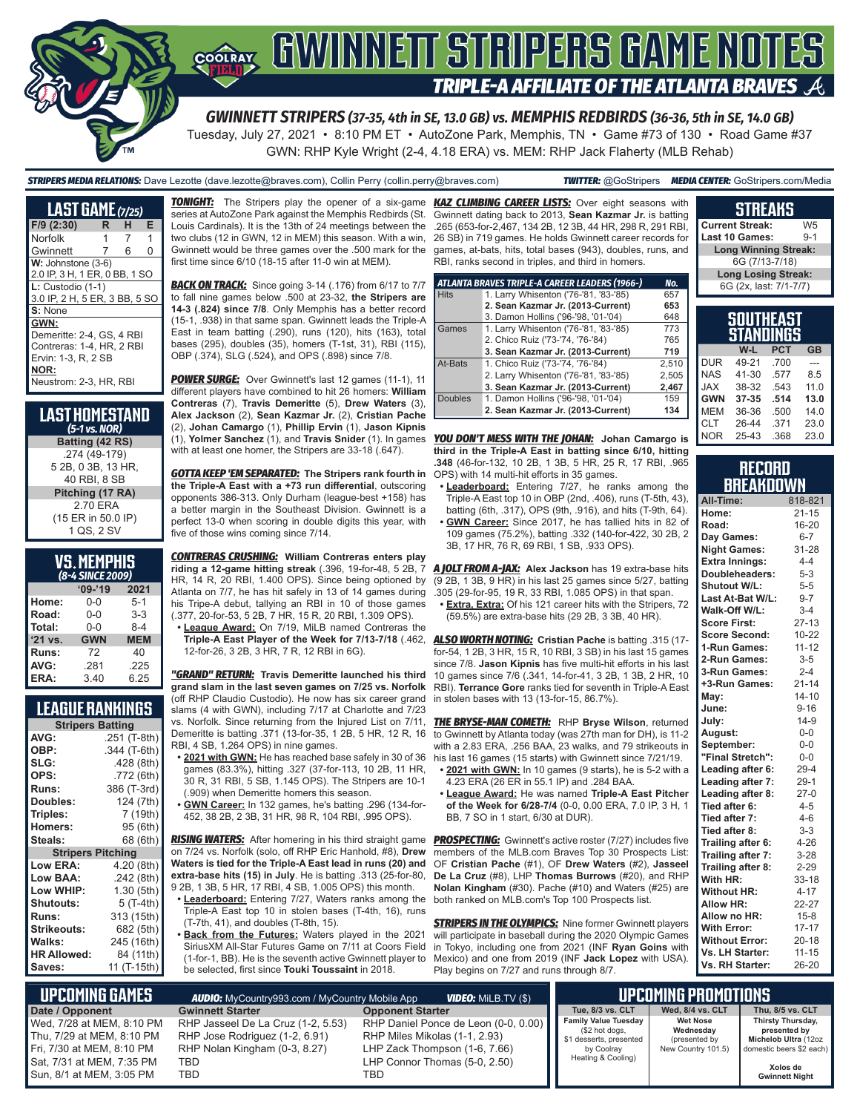

# **COORAY GWINNEIT STRIPERS GAME NOTES TRIPLE-A AFFILIATE OF THE ATLANTA BRAVES**

*GWINNETT STRIPERS (37-35, 4th in SE, 13.0 GB) vs. MEMPHIS REDBIRDS (36-36, 5th in SE, 14.0 GB)*

Tuesday, July 27, 2021 • 8:10 PM ET • AutoZone Park, Memphis, TN • Game #73 of 130 • Road Game #37 GWN: RHP Kyle Wright (2-4, 4.18 ERA) vs. MEM: RHP Jack Flaherty (MLB Rehab)

*STRIPERS MEDIA RELATIONS:* Dave Lezotte (dave.lezotte@braves.com), Collin Perry (collin.perry@braves.com) *TWITTER:* @GoStripers *MEDIA CENTER:* GoStripers.com/Media

# **STREAKS**

**Current Streak:** W5<br>Last 10 Games: 9-1 **Last 10 Games:** 

| <b>LAST GAME (7/25)</b>                                                                                                 |   |   |   |
|-------------------------------------------------------------------------------------------------------------------------|---|---|---|
| $F/9$ (2:30)                                                                                                            | R | н | Е |
| <b>Norfolk</b>                                                                                                          | 1 | 7 | 1 |
| Gwinnett                                                                                                                | 7 | 6 | O |
| W: Johnstone (3-6)<br>2.0 IP, 3 H, 1 ER, 0 BB, 1 SO                                                                     |   |   |   |
| $L:$ Custodio (1-1)<br>3.0 IP, 2 H, 5 ER, 3 BB, 5 SO                                                                    |   |   |   |
| S: None                                                                                                                 |   |   |   |
| GWN:<br>Demeritte: 2-4, GS, 4 RBI<br>Contreras: 1-4, HR, 2 RBI<br>Ervin: 1-3, R, 2 SB<br>NOR:<br>Neustrom: 2-3, HR, RBI |   |   |   |

| <b>LAST HOMESTAND</b><br>$(5-1)$ vs. NOR) |
|-------------------------------------------|
| Batting (42 RS)                           |
| .274 (49-179)                             |
| 5 2B, 0 3B, 13 HR,                        |
| 40 RBI, 8 SB                              |
| Pitching (17 RA)                          |
| 270 FRA                                   |
| (15 ER in 50.0 IP)                        |
| 1 QS, 2 SV                                |

|         | VS.MEMPHIS<br>(8-4 SINCE 2009) |            |
|---------|--------------------------------|------------|
|         | $09 - 19$                      | 2021       |
| Home:   | 0-0                            | $5-1$      |
| Road:   | $0 - 0$                        | $3-3$      |
| Total:  | $0 - 0$                        | $8-4$      |
| '21 vs. | <b>GWN</b>                     | <b>MEM</b> |
| Runs:   | 72                             | 40         |
| AVG:    | .281                           | .225       |
| ERA:    | 3.40                           | 6.25       |

### **LEAGUE RANKINGS**

| AVG:<br>.251 (T-8th)<br>OBP:<br>.344 (T-6th)<br>SLG:<br>.428 (8th)<br>OPS:<br>.772 (6th)<br>386 (T-3rd)<br><b>Runs:</b><br>124 (7th)<br>Doubles:<br>7 (19th)<br>Triples:<br>95 (6th)<br><b>Homers:</b><br>68 (6th)<br>Steals:<br><b>Stripers Pitching</b><br><b>Low ERA:</b><br>4.20 (8th)<br>Low BAA:<br>.242 (8th) |
|----------------------------------------------------------------------------------------------------------------------------------------------------------------------------------------------------------------------------------------------------------------------------------------------------------------------|
|                                                                                                                                                                                                                                                                                                                      |
|                                                                                                                                                                                                                                                                                                                      |
|                                                                                                                                                                                                                                                                                                                      |
|                                                                                                                                                                                                                                                                                                                      |
|                                                                                                                                                                                                                                                                                                                      |
|                                                                                                                                                                                                                                                                                                                      |
|                                                                                                                                                                                                                                                                                                                      |
|                                                                                                                                                                                                                                                                                                                      |
|                                                                                                                                                                                                                                                                                                                      |
|                                                                                                                                                                                                                                                                                                                      |
|                                                                                                                                                                                                                                                                                                                      |
|                                                                                                                                                                                                                                                                                                                      |
| Low WHIP:<br>1.30 (5th)                                                                                                                                                                                                                                                                                              |
| Shutouts:<br>5 (T-4th)                                                                                                                                                                                                                                                                                               |
| 313 (15th)<br><b>Runs:</b>                                                                                                                                                                                                                                                                                           |
| <b>Strikeouts:</b><br>682 (5th)                                                                                                                                                                                                                                                                                      |
| Walks:<br>245 (16th)                                                                                                                                                                                                                                                                                                 |
| <b>HR Allowed:</b><br>84 (11th)                                                                                                                                                                                                                                                                                      |
| 11 (T-15th)<br>Saves:                                                                                                                                                                                                                                                                                                |

**TONIGHT:** The Stripers play the opener of a six-game series at AutoZone Park against the Memphis Redbirds (St. Louis Cardinals). It is the 13th of 24 meetings between the two clubs (12 in GWN, 12 in MEM) this season. With a win, Gwinnett would be three games over the .500 mark for the first time since 6/10 (18-15 after 11-0 win at MEM).

**BACK ON TRACK:** Since going 3-14 (.176) from 6/17 to 7/7 to fall nine games below .500 at 23-32, **the Stripers are 14-3 (.824) since 7/8**. Only Memphis has a better record (15-1, .938) in that same span. Gwinnett leads the Triple-A East in team batting (.290), runs (120), hits (163), total bases (295), doubles (35), homers (T-1st, 31), RBI (115), OBP (.374), SLG (.524), and OPS (.898) since 7/8.

*POWER SURGE:* Over Gwinnett's last 12 games (11-1), 11 different players have combined to hit 26 homers: **William Contreras** (7), **Travis Demeritte** (5), **Drew Waters** (3), **Alex Jackson** (2), **Sean Kazmar Jr.** (2), **Cristian Pache** (2), **Johan Camargo** (1), **Phillip Ervin** (1), **Jason Kipnis** (1), **Yolmer Sanchez** (1), and **Travis Snider** (1). In games with at least one homer, the Stripers are 33-18 (.647).

*GOTTA KEEP 'EM SEPARATED:* **The Stripers rank fourth in the Triple-A East with a +73 run differential**, outscoring opponents 386-313. Only Durham (league-best +158) has a better margin in the Southeast Division. Gwinnett is a perfect 13-0 when scoring in double digits this year, with five of those wins coming since 7/14.

*CONTRERAS CRUSHING:* **William Contreras enters play riding a 12-game hitting streak** (.396, 19-for-48, 5 2B, 7 HR, 14 R, 20 RBI, 1.400 OPS). Since being optioned by Atlanta on 7/7, he has hit safely in 13 of 14 games during his Tripe-A debut, tallying an RBI in 10 of those games (.377, 20-for-53, 5 2B, 7 HR, 15 R, 20 RBI, 1.309 OPS).

**• League Award:** On 7/19, MiLB named Contreras the 12-for-26, 3 2B, 3 HR, 7 R, 12 RBI in 6G).

*"GRAND" RETURN:* **Travis Demeritte launched his third grand slam in the last seven games on 7/25 vs. Norfolk** (off RHP Claudio Custodio). He now has six career grand slams (4 with GWN), including 7/17 at Charlotte and 7/23 vs. Norfolk. Since returning from the Injured List on 7/11, Demeritte is batting .371 (13-for-35, 1 2B, 5 HR, 12 R, 16 RBI, 4 SB, 1.264 OPS) in nine games.

- **• 2021 with GWN:** He has reached base safely in 30 of 36 games (83.3%), hitting .327 (37-for-113, 10 2B, 11 HR, 30 R, 31 RBI, 5 SB, 1.145 OPS). The Stripers are 10-1 (.909) when Demeritte homers this season.
- **• GWN Career:** In 132 games, he's batting .296 (134-for-452, 38 2B, 2 3B, 31 HR, 98 R, 104 RBI, .995 OPS).

*RISING WATERS:* After homering in his third straight game on 7/24 vs. Norfolk (solo, off RHP Eric Hanhold, #8), **Drew Waters is tied for the Triple-A East lead in runs (20) and extra-base hits (15) in July**. He is batting .313 (25-for-80, 9 2B, 1 3B, 5 HR, 17 RBI, 4 SB, 1.005 OPS) this month.

- **• Leaderboard:** Entering 7/27, Waters ranks among the Triple-A East top 10 in stolen bases (T-4th, 16), runs (T-7th, 41), and doubles (T-8th, 15).
- **• Back from the Futures:** Waters played in the 2021 SiriusXM All-Star Futures Game on 7/11 at Coors Field (1-for-1, BB). He is the seventh active Gwinnett player to be selected, first since **Touki Toussaint** in 2018.

**KAZ CLIMBING CAREER LISTS:** Over eight seasons with Gwinnett dating back to 2013, **Sean Kazmar Jr.** is batting .265 (653-for-2,467, 134 2B, 12 3B, 44 HR, 298 R, 291 RBI, 26 SB) in 719 games. He holds Gwinnett career records for games, at-bats, hits, total bases (943), doubles, runs, and RBI, ranks second in triples, and third in homers.

|                | ATLANTA BRAVES TRIPLE-A CAREER LEADERS (1966-) | No.   |
|----------------|------------------------------------------------|-------|
| <b>Hits</b>    | 1. Larry Whisenton ('76-'81, '83-'85)          | 657   |
|                | 2. Sean Kazmar Jr. (2013-Current)              | 653   |
|                | 3. Damon Hollins ('96-'98, '01-'04)            | 648   |
| Games          | 1. Larry Whisenton ('76-'81, '83-'85)          | 773   |
|                | 2. Chico Ruiz ('73-'74, '76-'84)               | 765   |
|                | 3. Sean Kazmar Jr. (2013-Current)              | 719   |
| At-Bats        | 1. Chico Ruiz ('73-'74, '76-'84)               | 2,510 |
|                | 2. Larry Whisenton ('76-'81, '83-'85)          | 2,505 |
|                | 3. Sean Kazmar Jr. (2013-Current)              | 2,467 |
| <b>Doubles</b> | 1. Damon Hollins ('96-'98, '01-'04)            | 159   |
|                | 2. Sean Kazmar Jr. (2013-Current)              | 134   |

*YOU DON'T MESS WITH THE JOHAN:* **Johan Camargo is third in the Triple-A East in batting since 6/10, hitting .348** (46-for-132, 10 2B, 1 3B, 5 HR, 25 R, 17 RBI, .965 OPS) with 14 multi-hit efforts in 35 games.

- **• Leaderboard:** Entering 7/27, he ranks among the Triple-A East top 10 in OBP (2nd, .406), runs (T-5th, 43), batting (6th, .317), OPS (9th, .916), and hits (T-9th, 64).
- **• GWN Career:** Since 2017, he has tallied hits in 82 of 109 games (75.2%), batting .332 (140-for-422, 30 2B, 2 3B, 17 HR, 76 R, 69 RBI, 1 SB, .933 OPS).

*A JOLT FROM A-JAX:* **Alex Jackson** has 19 extra-base hits (9 2B, 1 3B, 9 HR) in his last 25 games since 5/27, batting .305 (29-for-95, 19 R, 33 RBI, 1.085 OPS) in that span.

**• Extra, Extra:** Of his 121 career hits with the Stripers, 72 (59.5%) are extra-base hits (29 2B, 3 3B, 40 HR).

**Triple-A East Player of the Week for 7/13-7/18** (.462, *ALSO WORTH NOTING:* **Cristian Pache** is batting .315 (17 for-54, 1 2B, 3 HR, 15 R, 10 RBI, 3 SB) in his last 15 games since 7/8. **Jason Kipnis** has five multi-hit efforts in his last 10 games since 7/6 (.341, 14-for-41, 3 2B, 1 3B, 2 HR, 10 RBI). **Terrance Gore** ranks tied for seventh in Triple-A East in stolen bases with 13 (13-for-15, 86.7%).

> *THE BRYSE-MAN COMETH:* RHP **Bryse Wilson**, returned to Gwinnett by Atlanta today (was 27th man for DH), is 11-2 with a 2.83 ERA, .256 BAA, 23 walks, and 79 strikeouts in his last 16 games (15 starts) with Gwinnett since 7/21/19.

- **• 2021 with GWN:** In 10 games (9 starts), he is 5-2 with a 4.23 ERA (26 ER in 55.1 IP) and .284 BAA.
- **• League Award:** He was named **Triple-A East Pitcher of the Week for 6/28-7/4** (0-0, 0.00 ERA, 7.0 IP, 3 H, 1 BB, 7 SO in 1 start, 6/30 at DUR).

**PROSPECTING:** Gwinnett's active roster (7/27) includes five members of the MLB.com Braves Top 30 Prospects List: OF **Cristian Pache** (#1), OF **Drew Waters** (#2), **Jasseel De La Cruz** (#8), LHP **Thomas Burrows** (#20), and RHP **Nolan Kingham** (#30). Pache (#10) and Waters (#25) are both ranked on MLB.com's Top 100 Prospects list.

*STRIPERS IN THE OLYMPICS:* Nine former Gwinnett players will participate in baseball during the 2020 Olympic Games in Tokyo, including one from 2021 (INF **Ryan Goins** with Mexico) and one from 2019 (INF **Jack Lopez** with USA). Play begins on 7/27 and runs through 8/7.

|            | Long Winning Streak:       |            |           |  |  |
|------------|----------------------------|------------|-----------|--|--|
|            | 6G (7/13-7/18)             |            |           |  |  |
|            | <b>Long Losing Streak:</b> |            |           |  |  |
|            | 6G (2x, last: 7/1-7/7)     |            |           |  |  |
|            |                            |            |           |  |  |
|            |                            |            |           |  |  |
|            | <b>SOUTHEAST</b>           |            |           |  |  |
|            | <b>STANDINGS</b>           |            |           |  |  |
|            | W-L                        | <b>PCT</b> | <b>GB</b> |  |  |
| <b>DUR</b> | 49-21                      | .700       |           |  |  |
| NAS.       | $41 - 30$                  | .577       | 8.5       |  |  |
| <b>XAL</b> | 38-32                      | .543       | 11.0      |  |  |
|            |                            |            |           |  |  |
| <b>GWN</b> | 37-35                      | .514       | 13.0      |  |  |

#### **RECORD BREAKDOWN**

CLT 26-44 .371 23.0 NOR 25-43 .368 23.0

| All-Time:             | 818-821   |
|-----------------------|-----------|
| Home:                 | $21 - 15$ |
| Road:                 | 16-20     |
| Day Games:            | $6 - 7$   |
| <b>Night Games:</b>   | 31-28     |
| <b>Extra Innings:</b> | $4 - 4$   |
| Doubleheaders:        | $5 - 3$   |
| Shutout W/L:          | $5-5$     |
| Last At-Bat W/L:      | $9 - 7$   |
| Walk-Off W/L:         | $3 - 4$   |
| <b>Score First:</b>   | $27 - 13$ |
| <b>Score Second:</b>  | $10 - 22$ |
| 1-Run Games:          | $11 - 12$ |
| 2-Run Games:          | $3 - 5$   |
| 3-Run Games:          | $2 - 4$   |
| +3-Run Games:         | $21 - 14$ |
| Mav:                  | $14 - 10$ |
| June:                 | $9 - 16$  |
| July:                 | $14-9$    |
| August:               | $0-0$     |
| September:            | $0 - 0$   |
| "Final Stretch":      | $0-0$     |
| Leading after 6:      | $29 - 4$  |
| Leading after 7:      | $29-1$    |
| Leading after 8:      | $27-0$    |
| Tied after 6:         | $4 - 5$   |
| Tied after 7:         | $4 - 6$   |
| Tied after 8:         | $3 - 3$   |
| Trailing after 6:     | $4 - 26$  |
| Trailing after 7:     | $3 - 28$  |
| Trailing after 8:     | $2 - 29$  |
| With HR:              | $33 - 18$ |
| <b>Without HR:</b>    | $4 - 17$  |
| <b>Allow HR:</b>      | 22-27     |
| Allow no HR:          | $15 - 8$  |
| <b>With Error:</b>    | $17 - 17$ |
| <b>Without Error:</b> | $20 - 18$ |
| Vs. LH Starter:       | $11 - 15$ |
| Vs. RH Starter:       | 26-20     |

| <b>UPCOMING GAMES</b>                                                                                                                          | <b>AUDIO:</b> MyCountry993.com / MyCountry Mobile App                                                               | <b>VIDEO:</b> Milb.tv $(\$)$                                                                                                                   |                                                                                                              | 'lipcoming promotions .                                             |                                                                                                                            |
|------------------------------------------------------------------------------------------------------------------------------------------------|---------------------------------------------------------------------------------------------------------------------|------------------------------------------------------------------------------------------------------------------------------------------------|--------------------------------------------------------------------------------------------------------------|---------------------------------------------------------------------|----------------------------------------------------------------------------------------------------------------------------|
| Date / Opponent                                                                                                                                | <b>Gwinnett Starter</b>                                                                                             | <b>Opponent Starter</b>                                                                                                                        | Tue. 8/3 vs. CLT                                                                                             | Wed. 8/4 vs. CLT                                                    | Thu. 8/5 vs. CLT                                                                                                           |
| Wed, 7/28 at MEM, 8:10 PM<br>Thu, 7/29 at MEM, 8:10 PM<br>Fri, 7/30 at MEM, 8:10 PM<br>l Sat. 7/31 at MEM. 7:35 PM<br>Sun, 8/1 at MEM, 3:05 PM | RHP Jasseel De La Cruz (1-2, 5.53)<br>RHP Jose Rodriguez (1-2, 6.91)<br>RHP Nolan Kingham (0-3, 8.27)<br>TBD<br>TBD | RHP Daniel Ponce de Leon (0-0, 0.00)<br>RHP Miles Mikolas (1-1, 2.93)<br>LHP Zack Thompson (1-6, 7.66)<br>LHP Connor Thomas (5-0, 2.50)<br>TBD | <b>Family Value Tuesday</b><br>(\$2 hot dogs,<br>\$1 desserts, presented<br>by Coolray<br>Heating & Cooling) | <b>Wet Nose</b><br>Wednesday<br>(presented by<br>New Country 101.5) | Thirsty Thursday,<br>presented by<br>Michelob Ultra (12oz<br>domestic beers \$2 each)<br>Xolos de<br><b>Gwinnett Night</b> |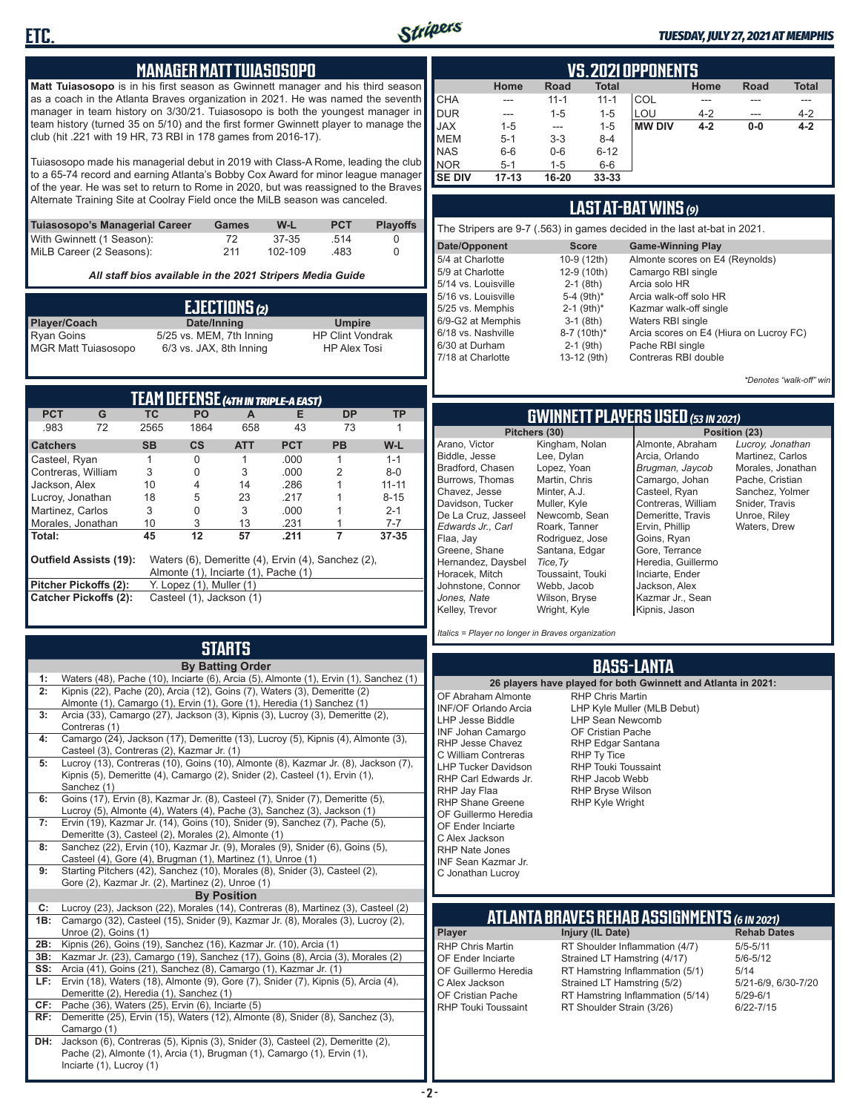

#### *TUESDAY, JULY 27, 2021 AT MEMPHIS*

#### **MANAGER MATT TUIASOSOPO**

**Matt Tuiasosopo** is in his first season as Gwinnett manager and his third season as a coach in the Atlanta Braves organization in 2021. He was named the seventh manager in team history on 3/30/21. Tuiasosopo is both the youngest manager in team history (turned 35 on 5/10) and the first former Gwinnett player to manage the club (hit .221 with 19 HR, 73 RBI in 178 games from 2016-17).

Tuiasosopo made his managerial debut in 2019 with Class-A Rome, leading the club to a 65-74 record and earning Atlanta's Bobby Cox Award for minor league manager of the year. He was set to return to Rome in 2020, but was reassigned to the Braves Alternate Training Site at Coolray Field once the MiLB season was canceled.

| Tuiasosopo's Managerial Career | Games | W-L     | <b>PCT</b> | <b>Plavoffs</b> |
|--------------------------------|-------|---------|------------|-----------------|
| With Gwinnett (1 Season):      | 72    | 37-35   | -514       |                 |
| MiLB Career (2 Seasons):       | 211   | 102-109 | .483       |                 |

*All staff bios available in the 2021 Stripers Media Guide*

|                            | EJECTIONS (2)            |                         |
|----------------------------|--------------------------|-------------------------|
| <b>Player/Coach</b>        | Date/Inning              | <b>Umpire</b>           |
| Ryan Goins                 | 5/25 vs. MEM, 7th Inning | <b>HP Clint Vondrak</b> |
| <b>MGR Matt Tuiasosopo</b> | 6/3 vs. JAX, 8th Inning  | <b>HP Alex Tosi</b>     |

|                       |                               |           |                                      |            | TEAM DEFENSE (4TH IN TRIPLE-A EAST)                |           |           |
|-----------------------|-------------------------------|-----------|--------------------------------------|------------|----------------------------------------------------|-----------|-----------|
| <b>PCT</b>            | G                             | TC.       | PO.                                  | A          | Е                                                  | DP        | <b>TP</b> |
| .983                  | 72                            | 2565      | 1864                                 | 658        | 43                                                 | 73        |           |
| <b>Catchers</b>       |                               | <b>SB</b> | $\mathsf{cs}$                        | <b>ATT</b> | <b>PCT</b>                                         | <b>PB</b> | W-L       |
| Casteel, Ryan         |                               |           | 0                                    |            | .000                                               | 1         | $1 - 1$   |
| Contreras, William    |                               | 3         | 0                                    | 3          | .000                                               | 2         | $8 - 0$   |
| Jackson, Alex         |                               | 10        | 4                                    | 14         | .286                                               |           | $11 - 11$ |
| Lucroy, Jonathan      |                               | 18        | 5                                    | 23         | .217                                               |           | $8 - 15$  |
| Martinez, Carlos      |                               | 3         | 0                                    | 3          | .000                                               |           | $2 - 1$   |
| Morales, Jonathan     |                               | 10        | 3                                    | 13         | .231                                               |           | $7 - 7$   |
| Total:                |                               | 45        | 12                                   | 57         | .211                                               |           | $37 - 35$ |
|                       | <b>Outfield Assists (19):</b> |           | Almonte (1), Inciarte (1), Pache (1) |            | Waters (6), Demeritte (4), Ervin (4), Sanchez (2), |           |           |
| Pitcher Pickoffs (2): |                               |           | $Y.$ Lopez $(1)$ , Muller $(1)$      |            |                                                    |           |           |
|                       | <b>Catcher Pickoffs (2):</b>  |           | Casteel (1), Jackson (1)             |            |                                                    |           |           |

# **STARTS**

|     | <b>By Batting Order</b>                                                                                                                                    |
|-----|------------------------------------------------------------------------------------------------------------------------------------------------------------|
| 1:  | Waters (48), Pache (10), Inciarte (6), Arcia (5), Almonte (1), Ervin (1), Sanchez (1)                                                                      |
| 2:  | Kipnis (22), Pache (20), Arcia (12), Goins (7), Waters (3), Demeritte (2)                                                                                  |
|     | Almonte (1), Camargo (1), Ervin (1), Gore (1), Heredia (1) Sanchez (1)                                                                                     |
| 3:  | Arcia (33), Camargo (27), Jackson (3), Kipnis (3), Lucroy (3), Demeritte (2),                                                                              |
|     | Contreras (1)                                                                                                                                              |
| 4:  | Camargo (24), Jackson (17), Demeritte (13), Lucroy (5), Kipnis (4), Almonte (3),                                                                           |
|     | Casteel (3), Contreras (2), Kazmar Jr. (1)                                                                                                                 |
| 5:  | Lucroy (13), Contreras (10), Goins (10), Almonte (8), Kazmar Jr. (8), Jackson (7),                                                                         |
|     | Kipnis (5), Demeritte (4), Camargo (2), Snider (2), Casteel (1), Ervin (1),<br>Sanchez (1)                                                                 |
| 6:  | Goins (17), Ervin (8), Kazmar Jr. (8), Casteel (7), Snider (7), Demeritte (5),                                                                             |
|     | Lucroy (5), Almonte (4), Waters (4), Pache (3), Sanchez (3), Jackson (1)                                                                                   |
| 7:  | Ervin (19), Kazmar Jr. (14), Goins (10), Snider (9), Sanchez (7), Pache (5),                                                                               |
|     | Demeritte (3), Casteel (2), Morales (2), Almonte (1)                                                                                                       |
| 8:  | Sanchez (22), Ervin (10), Kazmar Jr. (9), Morales (9), Snider (6), Goins (5),                                                                              |
|     | Casteel (4), Gore (4), Brugman (1), Martinez (1), Unroe (1)                                                                                                |
| 9:  | Starting Pitchers (42), Sanchez (10), Morales (8), Snider (3), Casteel (2),                                                                                |
|     | Gore (2), Kazmar Jr. (2), Martinez (2), Unroe (1)                                                                                                          |
|     | <b>By Position</b>                                                                                                                                         |
| C:  | Lucroy (23), Jackson (22), Morales (14), Contreras (8), Martinez (3), Casteel (2)                                                                          |
| 1B: | Camargo (32), Casteel (15), Snider (9), Kazmar Jr. (8), Morales (3), Lucroy (2),                                                                           |
|     | Unroe (2), Goins (1)                                                                                                                                       |
| 2B: | Kipnis (26), Goins (19), Sanchez (16), Kazmar Jr. (10), Arcia (1)                                                                                          |
| 3B: | Kazmar Jr. (23), Camargo (19), Sanchez (17), Goins (8), Arcia (3), Morales (2)                                                                             |
| SS: | Arcia (41), Goins (21), Sanchez (8), Camargo (1), Kazmar Jr. (1)                                                                                           |
| LF: | Ervin (18), Waters (18), Almonte (9), Gore (7), Snider (7), Kipnis (5), Arcia (4),                                                                         |
|     | Demeritte (2), Heredia (1), Sanchez (1)                                                                                                                    |
| CF: | Pache (36), Waters (25), Ervin (6), Inciarte (5)                                                                                                           |
| RF: | Demeritte (25), Ervin (15), Waters (12), Almonte (8), Snider (8), Sanchez (3),                                                                             |
|     | Camargo (1)                                                                                                                                                |
| DH: | Jackson (6), Contreras (5), Kipnis (3), Snider (3), Casteel (2), Demeritte (2),<br>Pache (2), Almonte (1), Arcia (1), Brugman (1), Camargo (1), Ervin (1), |
|     | Inciarte (1), Lucroy (1)                                                                                                                                   |
|     |                                                                                                                                                            |

|             | <b>VS.2021 OPPONENTS</b> |             |              |               |         |             |              |  |  |  |  |  |  |  |
|-------------|--------------------------|-------------|--------------|---------------|---------|-------------|--------------|--|--|--|--|--|--|--|
|             | Home                     | <b>Road</b> | <b>Total</b> |               | Home    | <b>Road</b> | <b>Total</b> |  |  |  |  |  |  |  |
| <b>CHA</b>  | ---                      | $11 - 1$    | $11 - 1$     | COL           |         |             |              |  |  |  |  |  |  |  |
| DUR         | ---                      | $1 - 5$     | $1 - 5$      | LOU           | $4 - 2$ | ---         | $4 - 2$      |  |  |  |  |  |  |  |
| <b>JAX</b>  | $1 - 5$                  | ---         | $1 - 5$      | <b>MW DIV</b> | $4 - 2$ | $0-0$       | $4 - 2$      |  |  |  |  |  |  |  |
| <b>IMEM</b> | $5 - 1$                  | $3 - 3$     | $8 - 4$      |               |         |             |              |  |  |  |  |  |  |  |
| <b>NAS</b>  | $6-6$                    | $0-6$       | $6 - 12$     |               |         |             |              |  |  |  |  |  |  |  |
| <b>NOR</b>  | $5 - 1$                  | $1 - 5$     | $6-6$        |               |         |             |              |  |  |  |  |  |  |  |
| I SE DIV    | $17 - 13$                | 16-20       | $33 - 33$    |               |         |             |              |  |  |  |  |  |  |  |

#### **LAST AT-BAT WINS** *(9)*

| The Stripers are 9-7 (.563) in games decided in the last at-bat in 2021. |                          |                                         |  |  |  |  |  |  |  |  |
|--------------------------------------------------------------------------|--------------------------|-----------------------------------------|--|--|--|--|--|--|--|--|
| Date/Opponent                                                            | <b>Score</b>             | <b>Game-Winning Play</b>                |  |  |  |  |  |  |  |  |
| 5/4 at Charlotte                                                         | 10-9 (12th)              | Almonte scores on E4 (Reynolds)         |  |  |  |  |  |  |  |  |
| 5/9 at Charlotte                                                         | 12-9 (10th)              | Camargo RBI single                      |  |  |  |  |  |  |  |  |
| 5/14 vs. Louisville                                                      | $2-1$ (8th)              | Arcia solo HR                           |  |  |  |  |  |  |  |  |
| 5/16 vs. Louisville                                                      | 5-4 $(9th)*$             | Arcia walk-off solo HR                  |  |  |  |  |  |  |  |  |
| 5/25 vs. Memphis                                                         | $2-1$ (9th) <sup>*</sup> | Kazmar walk-off single                  |  |  |  |  |  |  |  |  |
| 6/9-G2 at Memphis                                                        | $3-1$ (8th)              | Waters RBI single                       |  |  |  |  |  |  |  |  |
| 6/18 vs. Nashville                                                       | 8-7 (10th)*              | Arcia scores on E4 (Hiura on Lucroy FC) |  |  |  |  |  |  |  |  |
| 6/30 at Durham                                                           | $2-1$ (9th)              | Pache RBI single                        |  |  |  |  |  |  |  |  |
| 7/18 at Charlotte                                                        | 13-12 (9th)              | Contreras RBI double                    |  |  |  |  |  |  |  |  |

*\*Denotes "walk-off" win*

*Lucroy, Jonathan* Martinez, Carlos Morales, Jonathan Pache, Cristian Sanchez, Yolmer Snider, Travis Unroe, Riley Waters, Drew

**Pitchers (30) Position (23)**

#### **GWINNETT PLAYERS USED** *(53 IN 2021)*

| Pitchers (30)                        | Posi               |
|--------------------------------------|--------------------|
| Kingham, Nolan<br>Arano, Victor      | Almonte, Abraham   |
| Biddle, Jesse<br>Lee, Dylan          | Arcia, Orlando     |
| Bradford, Chasen<br>Lopez, Yoan      | Brugman, Jaycob    |
| Martin, Chris<br>Burrows, Thomas     | Camargo, Johan     |
| Chavez, Jesse<br>Minter, A.J.        | Casteel, Ryan      |
| Davidson, Tucker<br>Muller, Kyle     | Contreras, William |
| De La Cruz, Jasseel<br>Newcomb, Sean | Demeritte, Travis  |
| Edwards Jr., Carl<br>Roark, Tanner   | Ervin, Phillip     |
| Flaa, Jay<br>Rodriguez, Jose         | Goins, Ryan        |
| Greene, Shane<br>Santana, Edgar      | Gore, Terrance     |
| Hernandez, Daysbel<br>Tice, Ty       | Heredia, Guillermo |
| Horacek, Mitch<br>Toussaint, Touki   | Inciarte, Ender    |
| Johnstone, Connor<br>Webb, Jacob     | Jackson, Alex      |
| Jones, Nate<br>Wilson, Bryse         | Kazmar Jr., Sean   |
| Kelley, Trevor<br>Wright, Kyle       | Kipnis, Jason      |

*Italics = Player no longer in Braves organization*

#### **BASS-LANTA**

**ATLANTA BRAVES REHAB ASSIGNMENTS** *(6 IN 2021)* **Player Injury (IL Date)** RHP Chris Martin RT Shoulder Inflammation (4/7) 5/5-5/11<br>CF Ender Inciarte Strained I T Hamstring (4/17) 5/6-5/12 OF Ender Inciarte Strained LT Hamstring (4/17) 5/6-5<br>OF Guillermo Heredia RT Hamstring Inflammation (5/1) 5/14 OF Guillermo Heredia RT Hamstring Inflammation (5/1) 5/14<br>C Alex Jackson Strained LT Hamstring (5/2) 5/21-6/9, 6/30-7/20 C Alex Jackson Strained LT Hamstring (5/2) 5/21-6/9,<br>OF Cristian Pache RT Hamstring Inflammation (5/14) 5/29-6/1 OF Cristian Pache RT Hamstring Inflammation (5/14)<br>RHP Touki Toussaint RT Shoulder Strain (3/26) RT Shoulder Strain (3/26) 6/22-7/15 **26 players have played for both Gwinnett and Atlanta in 2021:** OF Abraham Almonte INF/OF Orlando Arcia LHP Jesse Biddle INF Johan Camargo RHP Jesse Chavez C William Contreras LHP Tucker Davidson RHP Carl Edwards Jr. RHP Jay Flaa RHP Shane Greene OF Guillermo Heredia OF Ender Inciarte C Alex Jackson RHP Nate Jones INF Sean Kazmar Jr. C Jonathan Lucroy RHP Chris Martin LHP Kyle Muller (MLB Debut) LHP Sean Newcomb OF Cristian Pache RHP Edgar Santana RHP Ty Tice RHP Touki Toussaint RHP Jacob Webb RHP Bryse Wilson RHP Kyle Wright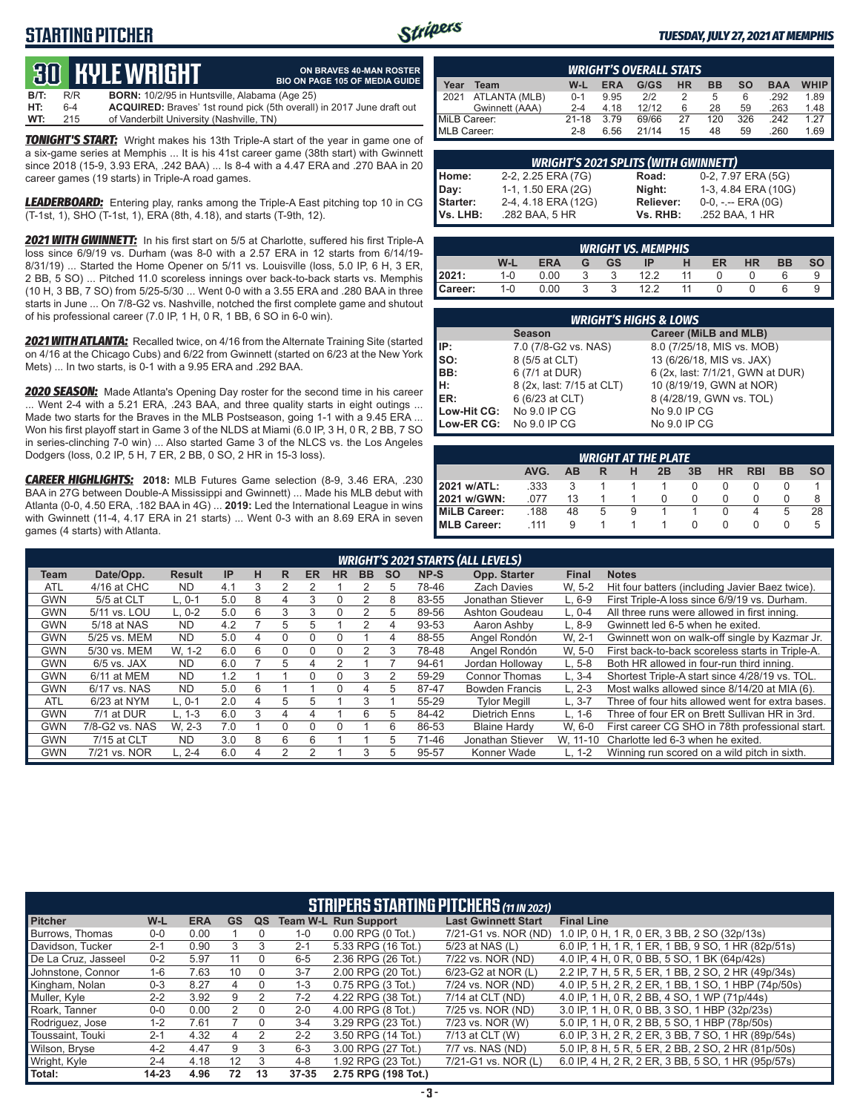# **STARTING PITCHER**



#### *TUESDAY, JULY 27, 2021 AT MEMPHIS*

# **30****KYLE WRIGHT**

|         |         | <b>BO KYLEWRIGHT</b>                                 | ON BRAVES 40-MAN ROSTER<br><b>BIO ON PAGE 105 OF MEDIA GUIDE</b>             |
|---------|---------|------------------------------------------------------|------------------------------------------------------------------------------|
| $B/T$ : | R/R     | <b>BORN:</b> 10/2/95 in Huntsville, Alabama (Age 25) |                                                                              |
| HT:     | $6 - 4$ |                                                      | <b>ACQUIRED:</b> Braves' 1st round pick (5th overall) in 2017 June draft out |
| WT:     | 215     | of Vanderbilt University (Nashville, TN)             |                                                                              |

*TONIGHT'S START:* Wright makes his 13th Triple-A start of the year in game one of a six-game series at Memphis ... It is his 41st career game (38th start) with Gwinnett since 2018 (15-9, 3.93 ERA, .242 BAA) ... Is 8-4 with a 4.47 ERA and .270 BAA in 20 career games (19 starts) in Triple-A road games.

*LEADERBOARD:* Entering play, ranks among the Triple-A East pitching top 10 in CG (T-1st, 1), SHO (T-1st, 1), ERA (8th, 4.18), and starts (T-9th, 12).

*2021 WITH GWINNETT:* In his first start on 5/5 at Charlotte, suffered his first Triple-A loss since 6/9/19 vs. Durham (was 8-0 with a 2.57 ERA in 12 starts from 6/14/19- 8/31/19) ... Started the Home Opener on 5/11 vs. Louisville (loss, 5.0 IP, 6 H, 3 ER, 2 BB, 5 SO) ... Pitched 11.0 scoreless innings over back-to-back starts vs. Memphis (10 H, 3 BB, 7 SO) from 5/25-5/30 ... Went 0-0 with a 3.55 ERA and .280 BAA in three starts in June ... On 7/8-G2 vs. Nashville, notched the first complete game and shutout of his professional career (7.0 IP, 1 H, 0 R, 1 BB, 6 SO in 6-0 win).

*2021 WITH ATLANTA:* Recalled twice, on 4/16 from the Alternate Training Site (started on 4/16 at the Chicago Cubs) and 6/22 from Gwinnett (started on 6/23 at the New York Mets) ... In two starts, is 0-1 with a 9.95 ERA and .292 BAA.

*2020 SEASON:* Made Atlanta's Opening Day roster for the second time in his career ... Went 2-4 with a 5.21 ERA, .243 BAA, and three quality starts in eight outings ... Made two starts for the Braves in the MLB Postseason, going 1-1 with a 9.45 ERA ... Won his first playoff start in Game 3 of the NLDS at Miami (6.0 IP, 3 H, 0 R, 2 BB, 7 SO in series-clinching 7-0 win) ... Also started Game 3 of the NLCS vs. the Los Angeles Dodgers (loss, 0.2 IP, 5 H, 7 ER, 2 BB, 0 SO, 2 HR in 15-3 loss).

*CAREER HIGHLIGHTS:* **2018:** MLB Futures Game selection (8-9, 3.46 ERA, .230 BAA in 27G between Double-A Mississippi and Gwinnett) ... Made his MLB debut with Atlanta (0-0, 4.50 ERA, .182 BAA in 4G) ... **2019:** Led the International League in wins with Gwinnett (11-4, 4.17 ERA in 21 starts) ... Went 0-3 with an 8.69 ERA in seven games (4 starts) with Atlanta.

|              | <b>WRIGHT'S OVERALL STATS</b> |           |            |       |           |           |           |            |             |  |  |  |  |  |
|--------------|-------------------------------|-----------|------------|-------|-----------|-----------|-----------|------------|-------------|--|--|--|--|--|
| Year         | Team                          | W-L       | <b>ERA</b> | G/GS  | <b>HR</b> | <b>BB</b> | <b>SO</b> | <b>BAA</b> | <b>WHIP</b> |  |  |  |  |  |
| 2021         | ATLANTA (MLB)                 | $0 - 1$   | 9.95       | 212   |           | 5         | 6         | .292       | 1.89        |  |  |  |  |  |
|              | Gwinnett (AAA)                | $2 - 4$   | 4.18       | 12/12 | 6         | 28        | 59        | .263       | 1.48        |  |  |  |  |  |
| MiLB Career: |                               | $21 - 18$ | 3.79       | 69/66 | 27        | 120       | 326       | .242       | 1.27        |  |  |  |  |  |
| MLB Career:  |                               | $2 - 8$   | 6.56       | 21/14 | 15        | 48        | 59        | .260       | 1.69        |  |  |  |  |  |

|                 | <b>WRIGHT'S 2021 SPLITS (WITH GWINNETT)</b> |           |                       |  |  |  |  |  |  |  |  |
|-----------------|---------------------------------------------|-----------|-----------------------|--|--|--|--|--|--|--|--|
| Home:           | 2-2, 2.25 ERA (7G)                          | Road:     | 0-2, 7.97 ERA (5G)    |  |  |  |  |  |  |  |  |
| Day:            | 1-1, 1.50 ERA (2G)                          | Night:    | 1-3, 4.84 ERA (10G)   |  |  |  |  |  |  |  |  |
| <b>Starter:</b> | 2-4, 4.18 ERA (12G)                         | Reliever: | $0-0, - -$ ERA $(0G)$ |  |  |  |  |  |  |  |  |
| lVs. LHB:       | .282 BAA, 5 HR                              | Vs. RHB:  | .252 BAA, 1 HR        |  |  |  |  |  |  |  |  |

|         | <b>WRIGHT VS. MEMPHIS.</b> |            |   |    |      |    |    |           |           |           |  |  |  |  |
|---------|----------------------------|------------|---|----|------|----|----|-----------|-----------|-----------|--|--|--|--|
|         | W-L                        | <b>ERA</b> | G | GS | ΙP   | н  | ER | <b>HR</b> | <b>BB</b> | <b>SO</b> |  |  |  |  |
| 2021:   | $1 - 0$                    | 0.00       |   |    | 12.2 | 11 |    |           |           |           |  |  |  |  |
| Career: | $1 - 0$                    | 0.00       |   |    | 12.2 | 11 |    |           |           |           |  |  |  |  |

|                         | <b>WRIGHT'S HIGHS &amp; LOWS</b> |                                  |  |  |  |  |  |  |  |  |  |  |
|-------------------------|----------------------------------|----------------------------------|--|--|--|--|--|--|--|--|--|--|
|                         | <b>Season</b>                    | Career (MiLB and MLB)            |  |  |  |  |  |  |  |  |  |  |
| IP:                     | 7.0 (7/8-G2 vs. NAS)             | 8.0 (7/25/18, MIS vs. MOB)       |  |  |  |  |  |  |  |  |  |  |
| $\mathsf{Iso}:$         | 8 (5/5 at CLT)                   | 13 (6/26/18, MIS vs. JAX)        |  |  |  |  |  |  |  |  |  |  |
| BB:                     | 6 (7/1 at DUR)                   | 6 (2x, last: 7/1/21, GWN at DUR) |  |  |  |  |  |  |  |  |  |  |
| Iн:                     | 8 (2x, last: 7/15 at CLT)        | 10 (8/19/19, GWN at NOR)         |  |  |  |  |  |  |  |  |  |  |
| ER:                     | 6 (6/23 at CLT)                  | 8 (4/28/19, GWN vs. TOL)         |  |  |  |  |  |  |  |  |  |  |
| Low-Hit CG:             | No 9.0 IP CG                     | No 9.0 IP CG                     |  |  |  |  |  |  |  |  |  |  |
| Low-ER CG: No 9.0 IP CG |                                  | No 9.0 IP CG                     |  |  |  |  |  |  |  |  |  |  |

|                                                                           | <b>WRIGHT AT THE PLATE</b> |    |   |   |  |  |  |  |   |    |  |  |  |  |  |
|---------------------------------------------------------------------------|----------------------------|----|---|---|--|--|--|--|---|----|--|--|--|--|--|
| AVG.<br>3B<br>HR<br><b>RBI</b><br><b>SO</b><br><b>BB</b><br>AB<br>2B<br>н |                            |    |   |   |  |  |  |  |   |    |  |  |  |  |  |
| 2021 w/ATL:                                                               | .333                       |    |   |   |  |  |  |  |   |    |  |  |  |  |  |
| 2021 w/GWN:                                                               | 077                        | 13 |   |   |  |  |  |  |   | 8  |  |  |  |  |  |
| <b>IMILB Career:</b>                                                      | .188                       | 48 | 5 | 9 |  |  |  |  | 5 | 28 |  |  |  |  |  |
| <b>IMLB Career:</b>                                                       | .111                       | 9  |   |   |  |  |  |  |   | 5  |  |  |  |  |  |

|            |                |               |     |   |    |           |           |           |           |       | <b>WRIGHT'S 2021 STARTS (ALL LEVELS)</b> |              |                                                  |
|------------|----------------|---------------|-----|---|----|-----------|-----------|-----------|-----------|-------|------------------------------------------|--------------|--------------------------------------------------|
| Team       | Date/Opp.      | <b>Result</b> | IP  | н | R. | <b>ER</b> | <b>HR</b> | <b>BB</b> | <b>SO</b> | NP-S  | Opp. Starter                             | <b>Final</b> | <b>Notes</b>                                     |
| <b>ATL</b> | 4/16 at CHC    | <b>ND</b>     | 4.1 | 3 |    |           |           |           | 5         | 78-46 | <b>Zach Davies</b>                       | W. 5-2       | Hit four batters (including Javier Baez twice).  |
| <b>GWN</b> | 5/5 at CLT     | $L.0-1$       | 5.0 | 8 | 4  | 3         | ი         | 2         | 8         | 83-55 | Jonathan Stiever                         | $L.6-9$      | First Triple-A loss since 6/9/19 vs. Durham.     |
| <b>GWN</b> | 5/11 vs. LOU   | $L.0-2$       | 5.0 | 6 | 3  | 3         | 0         |           | 5         | 89-56 | Ashton Goudeau                           | $L. 0-4$     | All three runs were allowed in first inning.     |
| <b>GWN</b> | 5/18 at NAS    | <b>ND</b>     | 4.2 |   | 5. | 5         |           |           | 4         | 93-53 | Aaron Ashby                              | $L.8-9$      | Gwinnett led 6-5 when he exited.                 |
| <b>GWN</b> | 5/25 vs. MEM   | <b>ND</b>     | 5.0 | 4 |    |           |           |           | 4         | 88-55 | Angel Rondón                             | W. 2-1       | Gwinnett won on walk-off single by Kazmar Jr.    |
| <b>GWN</b> | 5/30 vs. MEM   | W. 1-2        | 6.0 | 6 | 0  |           | ი         | 2         | 3         | 78-48 | Angel Rondón                             | W. 5-0       | First back-to-back scoreless starts in Triple-A. |
| <b>GWN</b> | $6/5$ vs. JAX  | <b>ND</b>     | 6.0 |   | 5  | 4         |           |           |           | 94-61 | Jordan Holloway                          | $L.5-8$      | Both HR allowed in four-run third inning.        |
| <b>GWN</b> | 6/11 at MEM    | <b>ND</b>     | 1.2 |   |    | $\Omega$  | 0         | 3         |           | 59-29 | Connor Thomas                            | $L.3 - 4$    | Shortest Triple-A start since 4/28/19 vs. TOL.   |
| <b>GWN</b> | 6/17 vs. NAS   | <b>ND</b>     | 5.0 | 6 |    |           | 0         | 4         | 5         | 87-47 | <b>Bowden Francis</b>                    | $L. 2-3$     | Most walks allowed since 8/14/20 at MIA (6).     |
| <b>ATL</b> | 6/23 at NYM    | L. 0-1        | 2.0 | 4 | 5  | 5         |           | 3         |           | 55-29 | <b>Tylor Meaill</b>                      | $L.3 - 7$    | Three of four hits allowed went for extra bases. |
| <b>GWN</b> | 7/1 at DUR     | $L. 1-3$      | 6.0 | 3 | 4  | 4         |           | 6         | 5         | 84-42 | <b>Dietrich Enns</b>                     | L, 1-6       | Three of four ER on Brett Sullivan HR in 3rd.    |
| <b>GWN</b> | 7/8-G2 vs. NAS | W. 2-3        | 7.0 |   | 0  | $\Omega$  | 0         |           | 6         | 86-53 | <b>Blaine Hardy</b>                      | W. 6-0       | First career CG SHO in 78th professional start.  |
| <b>GWN</b> | 7/15 at CLT    | <b>ND</b>     | 3.0 | 8 | 6  | 6         |           |           | 5.        | 71-46 | Jonathan Stiever                         | W. 11-10     | Charlotte led 6-3 when he exited.                |
| <b>GWN</b> | 7/21 vs. NOR   | $L. 2 - 4$    | 6.0 | 4 | 2  | っ         |           | 3         | 5         | 95-57 | Konner Wade                              | $L. 1-2$     | Winning run scored on a wild pitch in sixth.     |

|                     | <b>STRIPERS STARTING PITCHERS (11 IN 2021)</b> |            |           |    |           |                             |                            |                                                     |  |  |  |  |  |  |
|---------------------|------------------------------------------------|------------|-----------|----|-----------|-----------------------------|----------------------------|-----------------------------------------------------|--|--|--|--|--|--|
| <b>Pitcher</b>      | W-L                                            | <b>ERA</b> | <b>GS</b> | QS |           | <b>Team W-L Run Support</b> | <b>Last Gwinnett Start</b> | <b>Final Line</b>                                   |  |  |  |  |  |  |
| Burrows, Thomas     | $0 - 0$                                        | 0.00       |           |    | $1 - 0$   | $0.00$ RPG $(0$ Tot.)       | 7/21-G1 vs. NOR (ND)       | 1.0 IP, 0 H, 1 R, 0 ER, 3 BB, 2 SO (32p/13s)        |  |  |  |  |  |  |
| Davidson, Tucker    | $2 - 1$                                        | 0.90       | 3         |    | $2 - 1$   | 5.33 RPG (16 Tot.)          | 5/23 at NAS (L)            | 6.0 IP, 1 H, 1 R, 1 ER, 1 BB, 9 SO, 1 HR (82p/51s)  |  |  |  |  |  |  |
| De La Cruz. Jasseel | $0 - 2$                                        | 5.97       | 11        |    | $6 - 5$   | 2.36 RPG (26 Tot.)          | 7/22 vs. NOR (ND)          | 4.0 IP. 4 H, 0 R, 0 BB, 5 SO, 1 BK (64p/42s)        |  |  |  |  |  |  |
| Johnstone, Connor   | $1 - 6$                                        | 7.63       | 10        |    | $3 - 7$   | 2.00 RPG (20 Tot.)          | 6/23-G2 at NOR (L)         | 2.2 IP, 7 H, 5 R, 5 ER, 1 BB, 2 SO, 2 HR (49p/34s)  |  |  |  |  |  |  |
| Kingham, Nolan      | $0 - 3$                                        | 8.27       | 4         |    | $1 - 3$   | 0.75 RPG (3 Tot.)           | 7/24 vs. NOR (ND)          | 4.0 IP, 5 H, 2 R, 2 ER, 1 BB, 1 SO, 1 HBP (74p/50s) |  |  |  |  |  |  |
| Muller, Kyle        | $2 - 2$                                        | 3.92       | 9         |    | $7-2$     | 4.22 RPG (38 Tot.)          | 7/14 at CLT (ND)           | 4.0 IP. 1 H, 0 R, 2 BB, 4 SO, 1 WP (71p/44s)        |  |  |  |  |  |  |
| Roark, Tanner       | $0-0$                                          | 0.00       |           |    | $2 - 0$   | 4.00 RPG (8 Tot.)           | 7/25 vs. NOR (ND)          | 3.0 IP, 1 H, 0 R, 0 BB, 3 SO, 1 HBP (32p/23s)       |  |  |  |  |  |  |
| Rodriguez, Jose     | $1 - 2$                                        | 7.61       |           |    | $3 - 4$   | 3.29 RPG (23 Tot.)          | 7/23 vs. NOR (W)           | 5.0 IP, 1 H, 0 R, 2 BB, 5 SO, 1 HBP (78p/50s)       |  |  |  |  |  |  |
| Toussaint, Touki    | $2 - 1$                                        | 4.32       | 4         |    | $2 - 2$   | 3.50 RPG (14 Tot.)          | 7/13 at CLT (W)            | 6.0 IP, 3 H, 2 R, 2 ER, 3 BB, 7 SO, 1 HR (89p/54s)  |  |  |  |  |  |  |
| Wilson, Bryse       | $4 - 2$                                        | 4.47       | 9         | З  | $6 - 3$   | 3.00 RPG (27 Tot.)          | 7/7 vs. NAS (ND)           | 5.0 IP, 8 H, 5 R, 5 ER, 2 BB, 2 SO, 2 HR (81p/50s)  |  |  |  |  |  |  |
| Wright, Kyle        | $2 - 4$                                        | 4.18       | 12        | 3  | $4 - 8$   | 1.92 RPG (23 Tot.)          | 7/21-G1 vs. NOR (L)        | 6.0 IP, 4 H, 2 R, 2 ER, 3 BB, 5 SO, 1 HR (95p/57s)  |  |  |  |  |  |  |
| Total:              | $14 - 23$                                      | 4.96       | 72        | 13 | $37 - 35$ | 2.75 RPG (198 Tot.)         |                            |                                                     |  |  |  |  |  |  |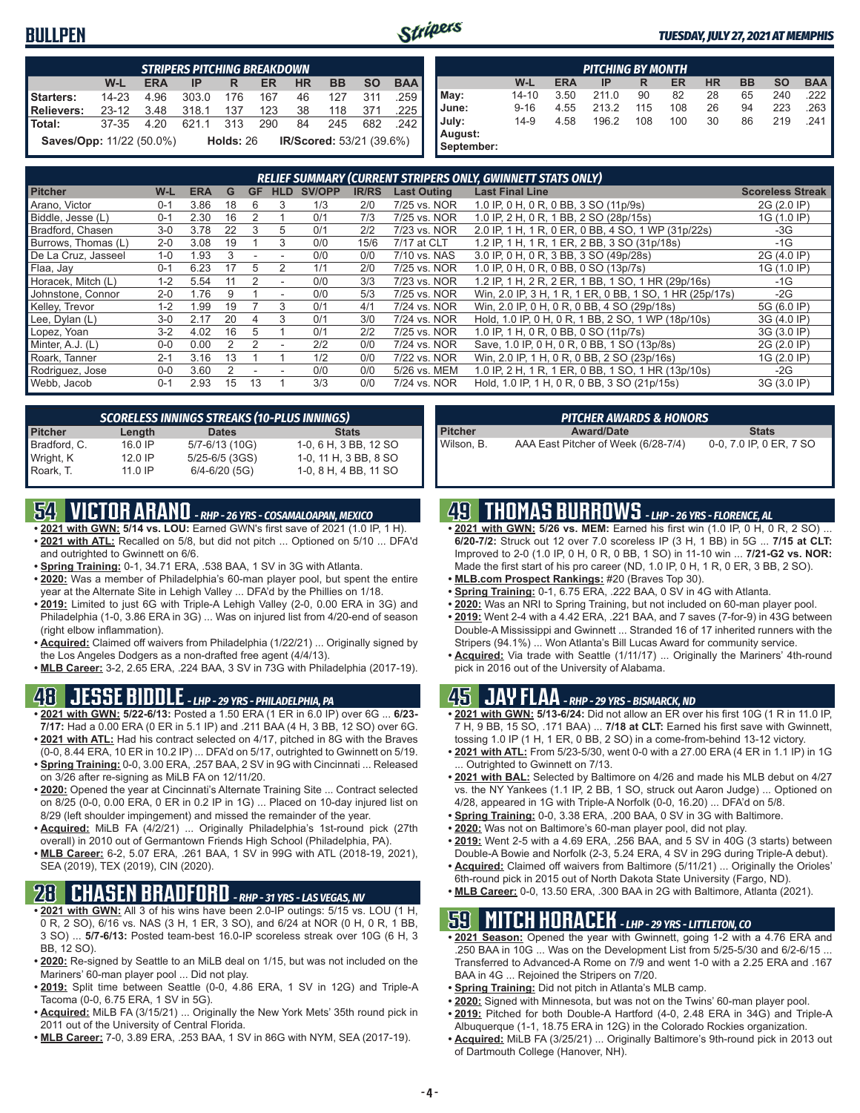#### **BULLPEN**



#### *TUESDAY, JULY 27, 2021 AT MEMPHIS*

|                                                                                 | <b>STRIPERS PITCHING BREAKDOWN</b>                                                      |      |       |     |     |    |     |     |      |  |  |  |  |  |
|---------------------------------------------------------------------------------|-----------------------------------------------------------------------------------------|------|-------|-----|-----|----|-----|-----|------|--|--|--|--|--|
|                                                                                 | <b>BAA</b><br>W-L<br><b>HR</b><br><b>SO</b><br><b>ERA</b><br><b>BB</b><br>ER<br>IP<br>R |      |       |     |     |    |     |     |      |  |  |  |  |  |
| Starters:                                                                       | $14 - 23$                                                                               | 4.96 | 303.0 | 176 | 167 | 46 | 127 | 311 | .259 |  |  |  |  |  |
| Relievers:                                                                      | $23-12$                                                                                 | 3.48 | 318.1 | 137 | 123 | 38 | 118 | 371 | .225 |  |  |  |  |  |
| l Total:                                                                        | 37-35                                                                                   | 4.20 | 621.1 | 313 | 290 | 84 | 245 | 682 | 242  |  |  |  |  |  |
| <b>Saves/Opp: 11/22 (50.0%)</b><br><b>IR/Scored:</b> 53/21 (39.6%)<br>Holds: 26 |                                                                                         |      |       |     |     |    |     |     |      |  |  |  |  |  |

| <b>PITCHING BY MONTH</b> |          |            |       |     |     |           |           |           |            |
|--------------------------|----------|------------|-------|-----|-----|-----------|-----------|-----------|------------|
|                          | W-L      | <b>ERA</b> | IP    | R   | ER  | <b>HR</b> | <b>BB</b> | <b>SO</b> | <b>BAA</b> |
| May:                     | 14-10    | 3.50       | 211.0 | 90  | 82  | 28        | 65        | 240       | .222       |
| June:                    | $9 - 16$ | 4.55       | 213.2 | 115 | 108 | 26        | 94        | 223       | .263       |
| July:<br>August:         | $14-9$   | 4.58       | 196.2 | 108 | 100 | 30        | 86        | 219       | .241       |
| September:               |          |            |       |     |     |           |           |           |            |

| RELIEF SUMMARY (CURRENT STRIPERS ONLY, GWINNETT STATS ONLY) |         |            |    |    |            |        |              |                    |                                                         |                         |
|-------------------------------------------------------------|---------|------------|----|----|------------|--------|--------------|--------------------|---------------------------------------------------------|-------------------------|
| <b>Pitcher</b>                                              | W-L     | <b>ERA</b> | G  | GF | <b>HLD</b> | SV/OPP | <b>IR/RS</b> | <b>Last Outing</b> | <b>Last Final Line</b>                                  | <b>Scoreless Streak</b> |
| Arano, Victor                                               | $0 - 1$ | 3.86       | 18 | 6  | 3          | 1/3    | 2/0          | 7/25 vs. NOR       | 1.0 IP, 0 H, 0 R, 0 BB, 3 SO (11p/9s)                   | 2G (2.0 IP)             |
| Biddle, Jesse (L)                                           | $0 - 1$ | 2.30       | 16 | 2  |            | 0/1    | 7/3          | 7/25 vs. NOR       | 1.0 IP, 2 H, 0 R, 1 BB, 2 SO (28p/15s)                  | 1G (1.0 IP)             |
| Bradford, Chasen                                            | $3-0$   | 3.78       | 22 | 3  | 5          | 0/1    | 2/2          | 7/23 vs. NOR       | 2.0 IP, 1 H, 1 R, 0 ER, 0 BB, 4 SO, 1 WP (31p/22s)      | $-3G$                   |
| Burrows, Thomas (L)                                         | $2 - 0$ | 3.08       | 19 |    | 3          | 0/0    | 15/6         | 7/17 at CLT        | 1.2 IP, 1 H, 1 R, 1 ER, 2 BB, 3 SO (31p/18s)            | $-1G$                   |
| De La Cruz, Jasseel                                         | $1 - 0$ | .93        |    |    |            | 0/0    | 0/0          | 7/10 vs. NAS       | 3.0 IP, 0 H, 0 R, 3 BB, 3 SO (49p/28s)                  | 2G (4.0 IP)             |
| Flaa, Jay                                                   | $0 - 1$ | 6.23       |    | 5  | 2          | 1/1    | 2/0          | 7/25 vs. NOR       | 1.0 IP, 0 H, 0 R, 0 BB, 0 SO (13p/7s)                   | 1G (1.0 IP)             |
| Horacek, Mitch (L)                                          | $1 - 2$ | 5.54       |    |    |            | 0/0    | 3/3          | 7/23 vs. NOR       | 1.2 IP, 1 H, 2 R, 2 ER, 1 BB, 1 SO, 1 HR (29p/16s)      | $-1G$                   |
| Johnstone, Connor                                           | $2 - 0$ | 1.76       |    |    |            | 0/0    | 5/3          | 7/25 vs. NOR       | Win, 2.0 IP, 3 H, 1 R, 1 ER, 0 BB, 1 SO, 1 HR (25p/17s) | $-2G$                   |
| Kelley, Trevor                                              | $1 - 2$ | .99        | 19 |    | 3          | 0/1    | 4/1          | 7/24 vs. NOR       | Win, 2.0 IP, 0 H, 0 R, 0 BB, 4 SO (29p/18s)             | 5G (6.0 IP)             |
| Lee, Dylan (L)                                              | $3-0$   | 2.17       | 20 |    |            | 0/1    | 3/0          | 7/24 vs. NOR       | Hold, 1.0 IP, 0 H, 0 R, 1 BB, 2 SO, 1 WP (18p/10s)      | 3G (4.0 IP)             |
| Lopez, Yoan                                                 | $3-2$   | 4.02       | 16 | 5  |            | 0/1    | 2/2          | 7/25 vs. NOR       | 1.0 IP, 1 H, 0 R, 0 BB, 0 SO (11p/7s)                   | 3G (3.0 IP)             |
| Minter, A.J. (L)                                            | $0 - 0$ | 0.00       |    |    |            | 2/2    | 0/0          | 7/24 vs. NOR       | Save, 1.0 IP, 0 H, 0 R, 0 BB, 1 SO (13p/8s)             | 2G (2.0 IP)             |
| Roark, Tanner                                               | $2 - 1$ | 3.16       | 13 |    |            | 1/2    | 0/0          | 7/22 vs. NOR       | Win, 2.0 IP, 1 H, 0 R, 0 BB, 2 SO (23p/16s)             | 1G (2.0 IP)             |
| Rodriguez, Jose                                             | $0 - 0$ | 3.60       |    |    |            | 0/0    | 0/0          | 5/26 vs. MEM       | 1.0 IP, 2 H, 1 R, 1 ER, 0 BB, 1 SO, 1 HR (13p/10s)      | $-2G$                   |
| Webb, Jacob                                                 | $0 - 1$ | 2.93       | 15 | 13 |            | 3/3    | 0/0          | 7/24 vs. NOR       | Hold, 1.0 IP, 1 H, 0 R, 0 BB, 3 SO (21p/15s)            | 3G (3.0 IP)             |

| <b>SCORELESS INNINGS STREAKS (10-PLUS INNINGS)</b> |           |                   |                       |  |  |  |  |
|----------------------------------------------------|-----------|-------------------|-----------------------|--|--|--|--|
| <b>Pitcher</b>                                     | Length    | <b>Dates</b>      | <b>Stats</b>          |  |  |  |  |
| Bradford, C.                                       | 16.0 IP   | 5/7-6/13 (10G)    | 1-0, 6 H, 3 BB, 12 SO |  |  |  |  |
| Wright, K                                          | $12.0$ IP | 5/25-6/5 (3GS)    | 1-0, 11 H, 3 BB, 8 SO |  |  |  |  |
| Roark, T.                                          | $11.0$ IP | $6/4 - 6/20$ (5G) | 1-0, 8 H, 4 BB, 11 SO |  |  |  |  |

## **54 VICTOR ARANO** *- RHP - 26 YRS - COSAMALOAPAN, MEXICO*

- **• 2021 with GWN: 5/14 vs. LOU:** Earned GWN's first save of 2021 (1.0 IP, 1 H). **• 2021 with ATL:** Recalled on 5/8, but did not pitch ... Optioned on 5/10 ... DFA'd and outrighted to Gwinnett on 6/6.
- **• Spring Training:** 0-1, 34.71 ERA, .538 BAA, 1 SV in 3G with Atlanta.
- **• 2020:** Was a member of Philadelphia's 60-man player pool, but spent the entire year at the Alternate Site in Lehigh Valley ... DFA'd by the Phillies on 1/18.
- **• 2019:** Limited to just 6G with Triple-A Lehigh Valley (2-0, 0.00 ERA in 3G) and Philadelphia (1-0, 3.86 ERA in 3G) ... Was on injured list from 4/20-end of season (right elbow inflammation).
- **• Acquired:** Claimed off waivers from Philadelphia (1/22/21) ... Originally signed by the Los Angeles Dodgers as a non-drafted free agent (4/4/13).
- **• MLB Career:** 3-2, 2.65 ERA, .224 BAA, 3 SV in 73G with Philadelphia (2017-19).

#### **48 JESSE BIDDLE** *- LHP - 29 YRS - PHILADELPHIA, PA*

- **• 2021 with GWN: 5/22-6/13:** Posted a 1.50 ERA (1 ER in 6.0 IP) over 6G ... **6/23- 7/17:** Had a 0.00 ERA (0 ER in 5.1 IP) and .211 BAA (4 H, 3 BB, 12 SO) over 6G. **• 2021 with ATL:** Had his contract selected on 4/17, pitched in 8G with the Braves
- (0-0, 8.44 ERA, 10 ER in 10.2 IP) ... DFA'd on 5/17, outrighted to Gwinnett on 5/19. **• Spring Training:** 0-0, 3.00 ERA, .257 BAA, 2 SV in 9G with Cincinnati ... Released
- on 3/26 after re-signing as MiLB FA on 12/11/20. **• 2020:** Opened the year at Cincinnati's Alternate Training Site ... Contract selected on 8/25 (0-0, 0.00 ERA, 0 ER in 0.2 IP in 1G) ... Placed on 10-day injured list on
- 8/29 (left shoulder impingement) and missed the remainder of the year. **• Acquired:** MiLB FA (4/2/21) ... Originally Philadelphia's 1st-round pick (27th
- overall) in 2010 out of Germantown Friends High School (Philadelphia, PA). **• MLB Career:** 6-2, 5.07 ERA, .261 BAA, 1 SV in 99G with ATL (2018-19, 2021), SEA (2019), TEX (2019), CIN (2020).

# **28 CHASEN BRADFORD** *- RHP - 31 YRS - LAS VEGAS, NV*

- **• 2021 with GWN:** All 3 of his wins have been 2.0-IP outings: 5/15 vs. LOU (1 H, 0 R, 2 SO), 6/16 vs. NAS (3 H, 1 ER, 3 SO), and 6/24 at NOR (0 H, 0 R, 1 BB, 3 SO) ... **5/7-6/13:** Posted team-best 16.0-IP scoreless streak over 10G (6 H, 3 BB, 12 SO).
- **• 2020:** Re-signed by Seattle to an MiLB deal on 1/15, but was not included on the Mariners' 60-man player pool ... Did not play.
- **• 2019:** Split time between Seattle (0-0, 4.86 ERA, 1 SV in 12G) and Triple-A Tacoma (0-0, 6.75 ERA, 1 SV in 5G).
- **• Acquired:** MiLB FA (3/15/21) ... Originally the New York Mets' 35th round pick in 2011 out of the University of Central Florida.
- **• MLB Career:** 7-0, 3.89 ERA, .253 BAA, 1 SV in 86G with NYM, SEA (2017-19).

| PITCHER AWARDS & HONORS |                                     |                         |  |  |  |  |  |  |
|-------------------------|-------------------------------------|-------------------------|--|--|--|--|--|--|
| <b>Pitcher</b>          | <b>Award/Date</b>                   | <b>Stats</b>            |  |  |  |  |  |  |
| l Wilson. B.            | AAA East Pitcher of Week (6/28-7/4) | 0-0, 7.0 IP, 0 ER, 7 SO |  |  |  |  |  |  |

### **49 THOMAS BURROWS** *- LHP - 26 YRS - FLORENCE, AL*

- **• 2021 with GWN: 5/26 vs. MEM:** Earned his first win (1.0 IP, 0 H, 0 R, 2 SO) ... **6/20-7/2:** Struck out 12 over 7.0 scoreless IP (3 H, 1 BB) in 5G ... **7/15 at CLT:** Improved to 2-0 (1.0 IP, 0 H, 0 R, 0 BB, 1 SO) in 11-10 win ... **7/21-G2 vs. NOR:** Made the first start of his pro career (ND, 1.0 IP, 0 H, 1 R, 0 ER, 3 BB, 2 SO).
- **• MLB.com Prospect Rankings:** #20 (Braves Top 30).
- **• Spring Training:** 0-1, 6.75 ERA, .222 BAA, 0 SV in 4G with Atlanta.
- **• 2020:** Was an NRI to Spring Training, but not included on 60-man player pool.
- **• 2019:** Went 2-4 with a 4.42 ERA, .221 BAA, and 7 saves (7-for-9) in 43G between Double-A Mississippi and Gwinnett ... Stranded 16 of 17 inherited runners with the Stripers (94.1%) ... Won Atlanta's Bill Lucas Award for community service.
- **• Acquired:** Via trade with Seattle (1/11/17) ... Originally the Mariners' 4th-round pick in 2016 out of the University of Alabama.

### **45 JAY FLAA** *- RHP - 29 YRS - BISMARCK, ND*

- **• 2021 with GWN: 5/13-6/24:** Did not allow an ER over his first 10G (1 R in 11.0 IP, 7 H, 9 BB, 15 SO, .171 BAA) ... **7/18 at CLT:** Earned his first save with Gwinnett, tossing 1.0 IP (1 H, 1 ER, 0 BB, 2 SO) in a come-from-behind 13-12 victory.
- **• 2021 with ATL:** From 5/23-5/30, went 0-0 with a 27.00 ERA (4 ER in 1.1 IP) in 1G Outrighted to Gwinnett on 7/13.
- **• 2021 with BAL:** Selected by Baltimore on 4/26 and made his MLB debut on 4/27 vs. the NY Yankees (1.1 IP, 2 BB, 1 SO, struck out Aaron Judge) ... Optioned on 4/28, appeared in 1G with Triple-A Norfolk (0-0, 16.20) ... DFA'd on 5/8.
- **• Spring Training:** 0-0, 3.38 ERA, .200 BAA, 0 SV in 3G with Baltimore.
- **• 2020:** Was not on Baltimore's 60-man player pool, did not play.
- **• 2019:** Went 2-5 with a 4.69 ERA, .256 BAA, and 5 SV in 40G (3 starts) between Double-A Bowie and Norfolk (2-3, 5.24 ERA, 4 SV in 29G during Triple-A debut).
- **• Acquired:** Claimed off waivers from Baltimore (5/11/21) ... Originally the Orioles' 6th-round pick in 2015 out of North Dakota State University (Fargo, ND).
- **• MLB Career:** 0-0, 13.50 ERA, .300 BAA in 2G with Baltimore, Atlanta (2021).

### **59 MITCH HORACEK** *- LHP - 29 YRS - LITTLETON, CO*

- **• 2021 Season:** Opened the year with Gwinnett, going 1-2 with a 4.76 ERA and .250 BAA in 10G ... Was on the Development List from 5/25-5/30 and 6/2-6/15 ... Transferred to Advanced-A Rome on 7/9 and went 1-0 with a 2.25 ERA and .167 BAA in 4G ... Rejoined the Stripers on 7/20.
- **• Spring Training:** Did not pitch in Atlanta's MLB camp.
- **• 2020:** Signed with Minnesota, but was not on the Twins' 60-man player pool.
- **• 2019:** Pitched for both Double-A Hartford (4-0, 2.48 ERA in 34G) and Triple-A
- Albuquerque (1-1, 18.75 ERA in 12G) in the Colorado Rockies organization. **• Acquired:** MiLB FA (3/25/21) ... Originally Baltimore's 9th-round pick in 2013 out of Dartmouth College (Hanover, NH).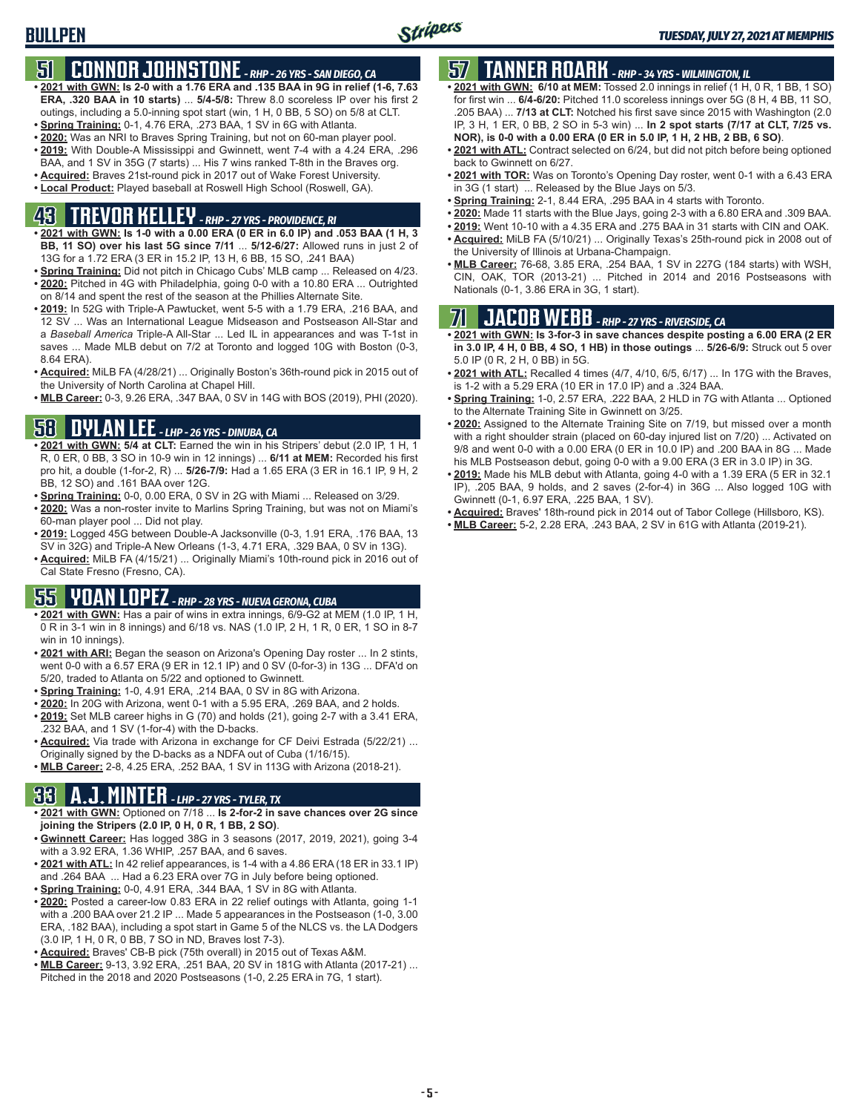# **51 CONNOR JOHNSTONE** *- RHP - 26 YRS - SAN DIEGO, CA*

- **• 2021 with GWN: Is 2-0 with a 1.76 ERA and .135 BAA in 9G in relief (1-6, 7.63 ERA, .320 BAA in 10 starts)** ... **5/4-5/8:** Threw 8.0 scoreless IP over his first 2 outings, including a 5.0-inning spot start (win, 1 H, 0 BB, 5 SO) on 5/8 at CLT.
- **• Spring Training:** 0-1, 4.76 ERA, .273 BAA, 1 SV in 6G with Atlanta.
- **• 2020:** Was an NRI to Braves Spring Training, but not on 60-man player pool. **• 2019:** With Double-A Mississippi and Gwinnett, went 7-4 with a 4.24 ERA, .296
- BAA, and 1 SV in 35G (7 starts) ... His 7 wins ranked T-8th in the Braves org.
- **• Acquired:** Braves 21st-round pick in 2017 out of Wake Forest University.
- **• Local Product:** Played baseball at Roswell High School (Roswell, GA).

# **43 TREVOR KELLEY** *- RHP - 27 YRS - PROVIDENCE, RI*

- **• 2021 with GWN: Is 1-0 with a 0.00 ERA (0 ER in 6.0 IP) and .053 BAA (1 H, 3 BB, 11 SO) over his last 5G since 7/11** ... **5/12-6/27:** Allowed runs in just 2 of 13G for a 1.72 ERA (3 ER in 15.2 IP, 13 H, 6 BB, 15 SO, .241 BAA)
- **• Spring Training:** Did not pitch in Chicago Cubs' MLB camp ... Released on 4/23. **• 2020:** Pitched in 4G with Philadelphia, going 0-0 with a 10.80 ERA ... Outrighted on 8/14 and spent the rest of the season at the Phillies Alternate Site.
- **• 2019:** In 52G with Triple-A Pawtucket, went 5-5 with a 1.79 ERA, .216 BAA, and 12 SV ... Was an International League Midseason and Postseason All-Star and a *Baseball America* Triple-A All-Star ... Led IL in appearances and was T-1st in saves ... Made MLB debut on 7/2 at Toronto and logged 10G with Boston (0-3, 8.64 ERA).
- **• Acquired:** MiLB FA (4/28/21) ... Originally Boston's 36th-round pick in 2015 out of the University of North Carolina at Chapel Hill.
- **• MLB Career:** 0-3, 9.26 ERA, .347 BAA, 0 SV in 14G with BOS (2019), PHI (2020).

# **58 DYLAN LEE** *- LHP - 26 YRS - DINUBA, CA*

- **• 2021 with GWN: 5/4 at CLT:** Earned the win in his Stripers' debut (2.0 IP, 1 H, 1 R, 0 ER, 0 BB, 3 SO in 10-9 win in 12 innings) ... **6/11 at MEM:** Recorded his first pro hit, a double (1-for-2, R) ... **5/26-7/9:** Had a 1.65 ERA (3 ER in 16.1 IP, 9 H, 2 BB, 12 SO) and .161 BAA over 12G.
- **• Spring Training:** 0-0, 0.00 ERA, 0 SV in 2G with Miami ... Released on 3/29.
- **• 2020:** Was a non-roster invite to Marlins Spring Training, but was not on Miami's 60-man player pool ... Did not play.
- **• 2019:** Logged 45G between Double-A Jacksonville (0-3, 1.91 ERA, .176 BAA, 13 SV in 32G) and Triple-A New Orleans (1-3, 4.71 ERA, .329 BAA, 0 SV in 13G).
- **• Acquired:** MiLB FA (4/15/21) ... Originally Miami's 10th-round pick in 2016 out of Cal State Fresno (Fresno, CA).

## **55 YOAN LOPEZ** *- RHP - 28 YRS - NUEVA GERONA, CUBA*

- **• 2021 with GWN:** Has a pair of wins in extra innings, 6/9-G2 at MEM (1.0 IP, 1 H, 0 R in 3-1 win in 8 innings) and 6/18 vs. NAS (1.0 IP, 2 H, 1 R, 0 ER, 1 SO in 8-7 win in 10 innings).
- **• 2021 with ARI:** Began the season on Arizona's Opening Day roster ... In 2 stints, went 0-0 with a 6.57 ERA (9 ER in 12.1 IP) and 0 SV (0-for-3) in 13G ... DFA'd on 5/20, traded to Atlanta on 5/22 and optioned to Gwinnett.
- **• Spring Training:** 1-0, 4.91 ERA, .214 BAA, 0 SV in 8G with Arizona.
- **• 2020:** In 20G with Arizona, went 0-1 with a 5.95 ERA, .269 BAA, and 2 holds.
- **• 2019:** Set MLB career highs in G (70) and holds (21), going 2-7 with a 3.41 ERA, .232 BAA, and 1 SV (1-for-4) with the D-backs.
- **• Acquired:** Via trade with Arizona in exchange for CF Deivi Estrada (5/22/21) ... Originally signed by the D-backs as a NDFA out of Cuba (1/16/15).
- **• MLB Career:** 2-8, 4.25 ERA, .252 BAA, 1 SV in 113G with Arizona (2018-21).

# **33 A.J. MINTER** *- LHP - 27 YRS - TYLER, TX*

- **• 2021 with GWN:** Optioned on 7/18 ... **Is 2-for-2 in save chances over 2G since joining the Stripers (2.0 IP, 0 H, 0 R, 1 BB, 2 SO)**.
- **• Gwinnett Career:** Has logged 38G in 3 seasons (2017, 2019, 2021), going 3-4 with a 3.92 ERA, 1.36 WHIP, .257 BAA, and 6 saves.
- **• 2021 with ATL:** In 42 relief appearances, is 1-4 with a 4.86 ERA (18 ER in 33.1 IP) and .264 BAA ... Had a 6.23 ERA over 7G in July before being optioned.
- **• Spring Training:** 0-0, 4.91 ERA, .344 BAA, 1 SV in 8G with Atlanta.
- **• 2020:** Posted a career-low 0.83 ERA in 22 relief outings with Atlanta, going 1-1 with a .200 BAA over 21.2 IP ... Made 5 appearances in the Postseason (1-0, 3.00 ERA, .182 BAA), including a spot start in Game 5 of the NLCS vs. the LA Dodgers (3.0 IP, 1 H, 0 R, 0 BB, 7 SO in ND, Braves lost 7-3).
- **• Acquired:** Braves' CB-B pick (75th overall) in 2015 out of Texas A&M.
- **• MLB Career:** 9-13, 3.92 ERA, .251 BAA, 20 SV in 181G with Atlanta (2017-21) ... Pitched in the 2018 and 2020 Postseasons (1-0, 2.25 ERA in 7G, 1 start).

# **57 TANNER ROARK** *- RHP - 34 YRS - WILMINGTON, IL*

- **• 2021 with GWN: 6/10 at MEM:** Tossed 2.0 innings in relief (1 H, 0 R, 1 BB, 1 SO) for first win ... **6/4-6/20:** Pitched 11.0 scoreless innings over 5G (8 H, 4 BB, 11 SO, .205 BAA) ... **7/13 at CLT:** Notched his first save since 2015 with Washington (2.0 IP, 3 H, 1 ER, 0 BB, 2 SO in 5-3 win) ... **In 2 spot starts (7/17 at CLT, 7/25 vs. NOR), is 0-0 with a 0.00 ERA (0 ER in 5.0 IP, 1 H, 2 HB, 2 BB, 6 SO)**.
- **• 2021 with ATL:** Contract selected on 6/24, but did not pitch before being optioned back to Gwinnett on 6/27.
- **• 2021 with TOR:** Was on Toronto's Opening Day roster, went 0-1 with a 6.43 ERA in 3G (1 start) ... Released by the Blue Jays on 5/3.
- **• Spring Training:** 2-1, 8.44 ERA, .295 BAA in 4 starts with Toronto.
- **• 2020:** Made 11 starts with the Blue Jays, going 2-3 with a 6.80 ERA and .309 BAA.
- **• 2019:** Went 10-10 with a 4.35 ERA and .275 BAA in 31 starts with CIN and OAK. **• Acquired:** MiLB FA (5/10/21) ... Originally Texas's 25th-round pick in 2008 out of
- the University of Illinois at Urbana-Champaign. **• MLB Career:** 76-68, 3.85 ERA, .254 BAA, 1 SV in 227G (184 starts) with WSH,
- CIN, OAK, TOR (2013-21) ... Pitched in 2014 and 2016 Postseasons with Nationals (0-1, 3.86 ERA in 3G, 1 start).

# **71 JACOB WEBB** *- RHP - 27 YRS - RIVERSIDE, CA*

- **• 2021 with GWN: Is 3-for-3 in save chances despite posting a 6.00 ERA (2 ER in 3.0 IP, 4 H, 0 BB, 4 SO, 1 HB) in those outings** ... **5/26-6/9:** Struck out 5 over 5.0 IP (0 R, 2 H, 0 BB) in 5G.
- **• 2021 with ATL:** Recalled 4 times (4/7, 4/10, 6/5, 6/17) ... In 17G with the Braves, is 1-2 with a 5.29 ERA (10 ER in 17.0 IP) and a .324 BAA.
- **• Spring Training:** 1-0, 2.57 ERA, .222 BAA, 2 HLD in 7G with Atlanta ... Optioned to the Alternate Training Site in Gwinnett on 3/25.
- **• 2020:** Assigned to the Alternate Training Site on 7/19, but missed over a month with a right shoulder strain (placed on 60-day injured list on 7/20) ... Activated on 9/8 and went 0-0 with a 0.00 ERA (0 ER in 10.0 IP) and .200 BAA in 8G ... Made his MLB Postseason debut, going 0-0 with a 9.00 ERA (3 ER in 3.0 IP) in 3G.
- **• 2019:** Made his MLB debut with Atlanta, going 4-0 with a 1.39 ERA (5 ER in 32.1 IP), .205 BAA, 9 holds, and 2 saves (2-for-4) in 36G ... Also logged 10G with Gwinnett (0-1, 6.97 ERA, .225 BAA, 1 SV).
- **• Acquired:** Braves' 18th-round pick in 2014 out of Tabor College (Hillsboro, KS).
- **• MLB Career:** 5-2, 2.28 ERA, .243 BAA, 2 SV in 61G with Atlanta (2019-21).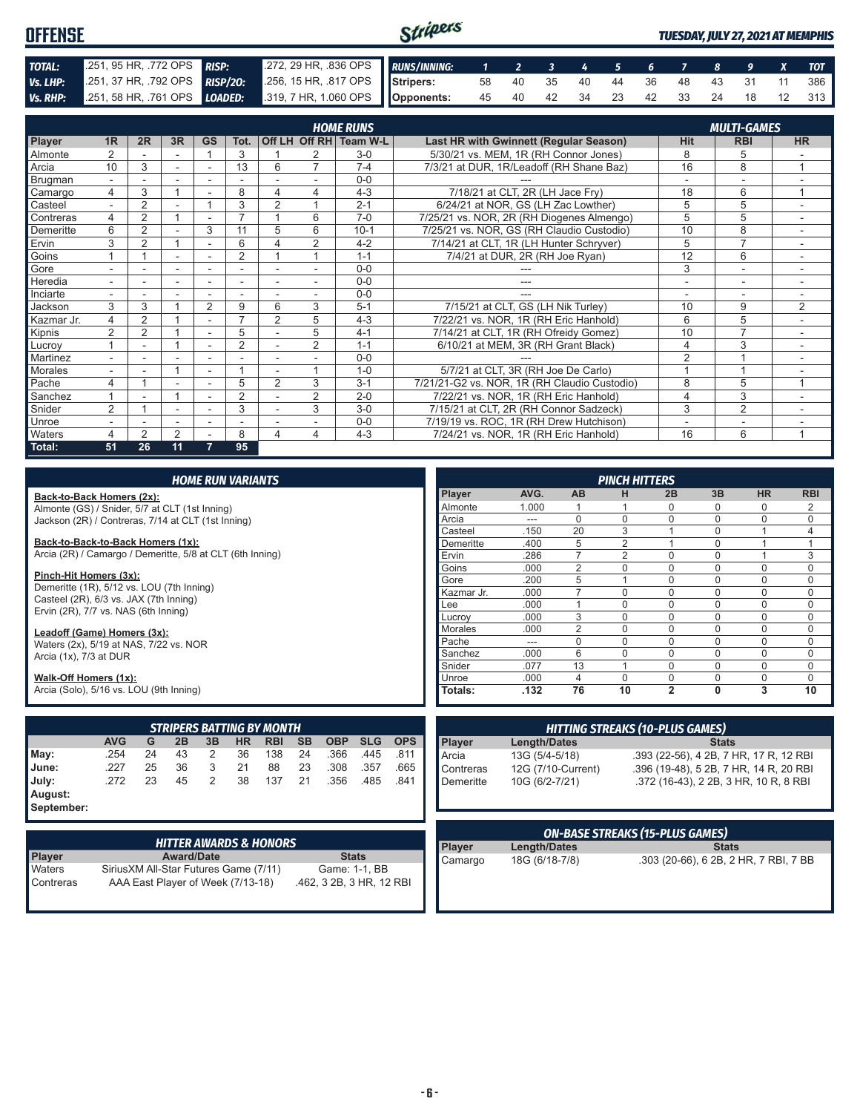#### Stripers **OFFENSE** *TUESDAY, JULY 27, 2021 AT MEMPHIS TOTAL:* .251, 95 HR, .772 OPS *RISP:* .272, 29 HR, .836 OPS *RUNS/INNING: 1 2 3 4 5 6 7 8 9 X TOT Vs. LHP:* .251, 37 HR, .792 OPS *RISP/2O:* .256, 15 HR, .817 OPS **Stripers:** 58 40 35 40 44 36 48 43 31 11 386 *Vs. RHP:* .251, 58 HR, .761 OPS *LOADED:* **Opponents:** 45 40 42 34 23 42 33 24 18 12 313

|                |                          |                |        |                          |                |                          |                | <b>HOME RUNS</b> |                                              |                          | <b>MULTI-GAMES</b>       |                |
|----------------|--------------------------|----------------|--------|--------------------------|----------------|--------------------------|----------------|------------------|----------------------------------------------|--------------------------|--------------------------|----------------|
| Player         | 1 <sub>R</sub>           | 2R             | 3R     | <b>GS</b>                | Tot.           |                          | Off LH Off RH  | <b>Team W-L</b>  | Last HR with Gwinnett (Regular Season)       | <b>Hit</b>               | <b>RBI</b>               | <b>HR</b>      |
| <b>Almonte</b> |                          |                |        |                          | 3              |                          |                | $3-0$            | 5/30/21 vs. MEM, 1R (RH Connor Jones)        | 8                        | 5                        |                |
| Arcia          | 10                       | 3              | $\sim$ | ۰                        | 13             | 6                        | 7              | $7 - 4$          | 7/3/21 at DUR, 1R/Leadoff (RH Shane Baz)     | 16                       | 8                        |                |
| Brugman        |                          |                |        |                          |                |                          |                | $0 - 0$          |                                              |                          | $\overline{\phantom{a}}$ |                |
| Camargo        | 4                        | 3              |        |                          | 8              | 4                        | 4              | $4 - 3$          | 7/18/21 at CLT, 2R (LH Jace Fry)             | 18                       | 6                        | $\overline{ }$ |
| Casteel        |                          | $\overline{2}$ |        |                          | 3              | $\overline{2}$           |                | $2 - 1$          | 6/24/21 at NOR, GS (LH Zac Lowther)          | 5                        | 5                        |                |
| Contreras      | 4                        | $\overline{2}$ |        |                          | ⇁              |                          | 6              | $7 - 0$          | 7/25/21 vs. NOR, 2R (RH Diogenes Almengo)    | 5                        | 5                        | ۰.             |
| Demeritte      | 6                        | $\overline{2}$ |        | 3                        | 11             | 5                        | 6              | $10 - 1$         | 7/25/21 vs. NOR, GS (RH Claudio Custodio)    | 10                       | 8                        | ۰.             |
| Ervin          | 3                        | $\overline{2}$ |        |                          | 6              |                          | 2              | $4 - 2$          | 7/14/21 at CLT, 1R (LH Hunter Schryver)      | 5                        | $\overline{ }$           |                |
| Goins          |                          |                | ۰      |                          | $\overline{2}$ |                          |                | $1 - 1$          | 7/4/21 at DUR, 2R (RH Joe Ryan)              | 12                       | 6                        |                |
| Gore           |                          |                |        |                          |                |                          |                | $0 - 0$          |                                              | 3                        | ۰                        |                |
| Heredia        | $\overline{\phantom{0}}$ | ۰              | ۰      | ۰                        | ٠              | $\overline{\phantom{a}}$ | $\sim$         | $0 - 0$          | ---                                          | $\overline{\phantom{a}}$ | $\overline{\phantom{a}}$ | $\sim$         |
| Inciarte       |                          |                |        |                          |                |                          |                | $0 - 0$          |                                              |                          | $\overline{\phantom{a}}$ |                |
| Jackson        | 3                        | 3              |        | 2                        | 9              | 6                        | 3              | $5 - 1$          | 7/15/21 at CLT, GS (LH Nik Turley)           | 10                       | 9                        | 2              |
| Kazmar Jr.     | 4                        | 2              |        | ٠                        | ⇁              | $\overline{2}$           | 5              | $4 - 3$          | 7/22/21 vs. NOR, 1R (RH Eric Hanhold)        | 6                        | 5                        |                |
| Kipnis         | $\overline{2}$           | 2              |        | $\overline{\phantom{a}}$ | 5              |                          | 5              | $4 - 1$          | 7/14/21 at CLT, 1R (RH Ofreidy Gomez)        | 10                       | $\overline{7}$           | $\sim$         |
| Lucroy         |                          |                |        |                          | $\overline{2}$ |                          | $\overline{2}$ | $1 - 1$          | 6/10/21 at MEM, 3R (RH Grant Black)          | $\overline{4}$           | 3                        |                |
| Martinez       |                          |                |        |                          |                |                          |                | $0 - 0$          |                                              | $\overline{2}$           |                          |                |
| Morales        |                          |                |        |                          |                |                          |                | $1 - 0$          | 5/7/21 at CLT, 3R (RH Joe De Carlo)          |                          |                          |                |
| Pache          | 4                        |                |        |                          | 5              | $\overline{2}$           | 3              | $3 - 1$          | 7/21/21-G2 vs. NOR, 1R (RH Claudio Custodio) | 8                        | 5                        |                |
| Sanchez        |                          |                |        | ٠                        | $\overline{2}$ |                          | 2              | $2 - 0$          | 7/22/21 vs. NOR, 1R (RH Eric Hanhold)        | $\overline{4}$           | 3                        |                |
| Snider         | $\overline{2}$           |                |        |                          | 3              |                          | 3              | $3-0$            | 7/15/21 at CLT, 2R (RH Connor Sadzeck)       | 3                        | $\overline{2}$           |                |
| Unroe          |                          |                | ٠      | ۰                        | ٠              |                          |                | $0 - 0$          | 7/19/19 vs. ROC, 1R (RH Drew Hutchison)      | ٠                        | ۰                        |                |
| <b>Waters</b>  | 4                        | $\overline{2}$ | 2      |                          | 8              | 4                        | 4              | $4 - 3$          | 7/24/21 vs. NOR, 1R (RH Eric Hanhold)        | 16                       | 6                        | 1              |
| Total:         | 51                       | 26             | 11     | 7                        | 95             |                          |                |                  |                                              |                          |                          |                |

|                                                           |            |    |    |    | <b>HOME RUN VARIANTS</b> |                                   |           |            |            |            |               |                        |                | <b>PINCH HITTERS</b> |                                        |              |                |                |
|-----------------------------------------------------------|------------|----|----|----|--------------------------|-----------------------------------|-----------|------------|------------|------------|---------------|------------------------|----------------|----------------------|----------------------------------------|--------------|----------------|----------------|
| Back-to-Back Homers (2x):                                 |            |    |    |    |                          |                                   |           |            |            |            | Player        | AVG.                   | AB             | н                    | 2B                                     | 3B           | <b>HR</b>      | <b>RBI</b>     |
| Almonte (GS) / Snider, 5/7 at CLT (1st Inning)            |            |    |    |    |                          |                                   |           |            |            |            | Almonte       | 1.000                  |                |                      | $\Omega$                               |              | 0              | $\overline{2}$ |
| Jackson (2R) / Contreras, 7/14 at CLT (1st Inning)        |            |    |    |    |                          |                                   |           |            |            |            | Arcia         | $\qquad \qquad \cdots$ | $\Omega$       | $\Omega$             | $\Omega$                               | $\Omega$     | $\mathbf 0$    | 0              |
|                                                           |            |    |    |    |                          |                                   |           |            |            |            | Casteel       | .150                   | 20             | 3                    |                                        | $\Omega$     |                | 4              |
| Back-to-Back-to-Back Homers (1x):                         |            |    |    |    |                          |                                   |           |            |            |            | Demeritte     | .400                   | 5              | $\overline{2}$       | $\overline{1}$                         | $\Omega$     | $\overline{1}$ | 1              |
| Arcia (2R) / Camargo / Demeritte, 5/8 at CLT (6th Inning) |            |    |    |    |                          |                                   |           |            |            |            | Ervin         | .286                   | $\overline{7}$ | $\overline{2}$       | $\Omega$                               | $\Omega$     |                | 3              |
|                                                           |            |    |    |    |                          |                                   |           |            |            |            | Goins         | .000                   | $\overline{2}$ | 0                    | $\Omega$                               | $\Omega$     | $\mathbf 0$    | $\mathbf 0$    |
| Pinch-Hit Homers (3x):                                    |            |    |    |    |                          |                                   |           |            |            |            | Gore          | .200                   | 5              |                      | $\Omega$                               | $\Omega$     | $\mathbf 0$    | 0              |
| Demeritte (1R), 5/12 vs. LOU (7th Inning)                 |            |    |    |    |                          |                                   |           |            |            |            | Kazmar Jr.    | .000                   | $\overline{7}$ | $\Omega$             | $\Omega$                               | $\Omega$     | $\mathbf 0$    | 0              |
| Casteel (2R), 6/3 vs. JAX (7th Inning)                    |            |    |    |    |                          |                                   |           |            |            |            | Lee           | .000                   |                | $\Omega$             | $\Omega$                               | $\Omega$     | $\Omega$       | 0              |
| Ervin (2R), 7/7 vs. NAS (6th Inning)                      |            |    |    |    |                          |                                   |           |            |            |            | Lucrov        | .000                   | 3              | $\Omega$             | $\Omega$                               | $\Omega$     | $\Omega$       | 0              |
| Leadoff (Game) Homers (3x):                               |            |    |    |    |                          |                                   |           |            |            |            | Morales       | .000                   | $\overline{2}$ | $\Omega$             | $\Omega$                               | $\Omega$     | 0              | 0              |
| Waters (2x), 5/19 at NAS, 7/22 vs. NOR                    |            |    |    |    |                          |                                   |           |            |            | Pache      | ---           | $\mathbf 0$            | $\Omega$       | $\Omega$             | $\Omega$                               | $\mathbf 0$  | 0              |                |
| Arcia (1x), 7/3 at DUR                                    |            |    |    |    |                          |                                   |           |            |            |            | Sanchez       | .000                   | 6              | $\Omega$             | $\Omega$                               | $\Omega$     | $\mathbf 0$    | 0              |
|                                                           |            |    |    |    |                          |                                   |           |            |            |            | Snider        | .077                   | 13             |                      | $\Omega$                               | $\Omega$     | $\Omega$       | $\Omega$       |
| Walk-Off Homers (1x):                                     |            |    |    |    |                          |                                   |           |            |            |            | Unroe         | .000                   | $\overline{4}$ | $\overline{0}$       | $\mathbf 0$                            | 0            | 0              | 0              |
| Arcia (Solo), 5/16 vs. LOU (9th Inning)                   |            |    |    |    |                          |                                   |           |            |            |            | Totals:       | .132                   | 76             | 10                   | $\overline{2}$                         | 0            | 3              | 10             |
|                                                           |            |    |    |    |                          | <b>STRIPERS BATTING BY MONTH</b>  |           |            |            |            |               |                        |                |                      | <b>HITTING STREAKS (10-PLUS GAMES)</b> |              |                |                |
|                                                           | <b>AVG</b> | G  | 2B | 3B | <b>HR</b>                | <b>RBI</b>                        | <b>SB</b> | <b>OBP</b> | <b>SLG</b> | <b>OPS</b> | Player        | <b>Length/Dates</b>    |                |                      |                                        | <b>Stats</b> |                |                |
| May:                                                      | .254       | 24 | 43 | 2  | 36                       | 138                               | 24        | .366       | .445       | .811       | Arcia         | 13G (5/4-5/18)         |                |                      | .393 (22-56), 4 2B, 7 HR, 17 R, 12 RBI |              |                |                |
| June:                                                     | .227       | 25 | 36 | 3  | 21                       | 88                                | 23        | .308       | .357       | .665       | Contreras     |                        |                |                      |                                        |              |                |                |
|                                                           | .272       | 23 | 45 | 2  | 38                       | 137                               | 21        | .356       | .485       | .841       |               | 12G (7/10-Current)     |                |                      | .396 (19-48), 5 2B, 7 HR, 14 R, 20 RBI |              |                |                |
| July:                                                     |            |    |    |    |                          |                                   |           |            |            |            | Demeritte     | 10G (6/2-7/21)         |                |                      | .372 (16-43). 2 2B. 3 HR. 10 R. 8 RBI  |              |                |                |
| August:                                                   |            |    |    |    |                          |                                   |           |            |            |            |               |                        |                |                      |                                        |              |                |                |
| September:                                                |            |    |    |    |                          |                                   |           |            |            |            |               |                        |                |                      |                                        |              |                |                |
|                                                           |            |    |    |    |                          |                                   |           |            |            |            |               |                        |                |                      | <b>ON-BASE STREAKS (15-PLUS GAMES)</b> |              |                |                |
|                                                           |            |    |    |    |                          | <b>HITTER AWARDS &amp; HONORS</b> |           |            |            |            | <b>Player</b> | <b>Length/Dates</b>    |                |                      |                                        | <b>Stats</b> |                |                |

| <b>HITTER AWARDS &amp; HONORS</b> |                                        |                          |  |  |  |  |  |  |
|-----------------------------------|----------------------------------------|--------------------------|--|--|--|--|--|--|
| <b>Player</b>                     | <b>Award/Date</b>                      | <b>Stats</b>             |  |  |  |  |  |  |
| Waters                            | Sirius XM All-Star Futures Game (7/11) | Game: 1-1, BB            |  |  |  |  |  |  |
| Contreras                         | AAA East Player of Week (7/13-18)      | .462, 3 2B, 3 HR, 12 RBI |  |  |  |  |  |  |

|               |                     | <b>ON-BASE STREAKS (15-PLUS GAMES)</b> |
|---------------|---------------------|----------------------------------------|
| <b>Player</b> | <b>Length/Dates</b> | <b>Stats</b>                           |
| Camargo       | 18G (6/18-7/8)      | .303 (20-66), 6 2B, 2 HR, 7 RBI, 7 BB  |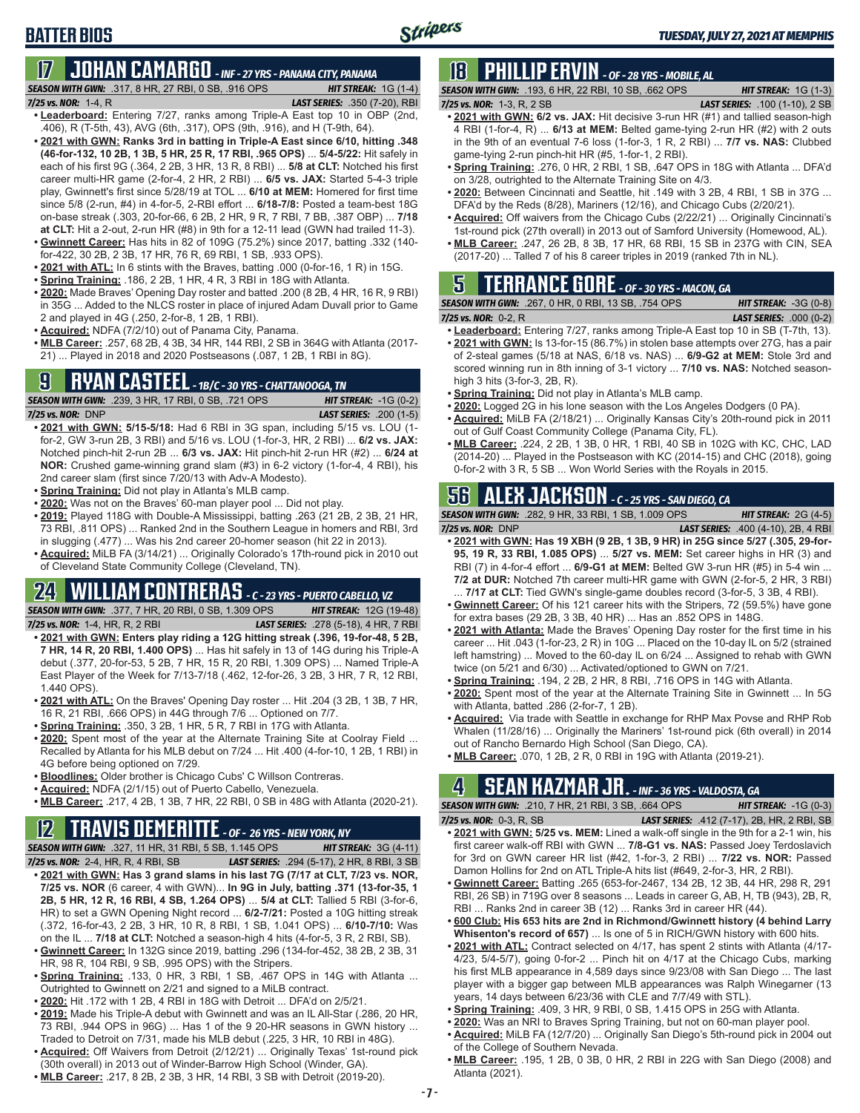# **17 JOHAN CAMARGO** *- INF - 27 YRS - PANAMA CITY, PANAMA*

**BATTER BIOS**

*SEASON WITH GWN:*.317, 8 HR, 27 RBI, 0 SB, .916 OPS *HIT STREAK:* 1G (1-4) *7/25 vs. NOR:* 1-4, R *LAST SERIES:* .350 (7-20), RBI

- **• Leaderboard:** Entering 7/27, ranks among Triple-A East top 10 in OBP (2nd, .406), R (T-5th, 43), AVG (6th, .317), OPS (9th, .916), and H (T-9th, 64).
- **• 2021 with GWN: Ranks 3rd in batting in Triple-A East since 6/10, hitting .348 (46-for-132, 10 2B, 1 3B, 5 HR, 25 R, 17 RBI, .965 OPS)** ... **5/4-5/22:** Hit safely in each of his first 9G (.364, 2 2B, 3 HR, 13 R, 8 RBI) ... **5/8 at CLT:** Notched his first career multi-HR game (2-for-4, 2 HR, 2 RBI) ... **6/5 vs. JAX:** Started 5-4-3 triple play, Gwinnett's first since 5/28/19 at TOL ... **6/10 at MEM:** Homered for first time since 5/8 (2-run, #4) in 4-for-5, 2-RBI effort ... **6/18-7/8:** Posted a team-best 18G on-base streak (.303, 20-for-66, 6 2B, 2 HR, 9 R, 7 RBI, 7 BB, .387 OBP) ... **7/18 at CLT:** Hit a 2-out, 2-run HR (#8) in 9th for a 12-11 lead (GWN had trailed 11-3).
- **• Gwinnett Career:** Has hits in 82 of 109G (75.2%) since 2017, batting .332 (140 for-422, 30 2B, 2 3B, 17 HR, 76 R, 69 RBI, 1 SB, .933 OPS).
- **• 2021 with ATL:** In 6 stints with the Braves, batting .000 (0-for-16, 1 R) in 15G.
- **• Spring Training:** .186, 2 2B, 1 HR, 4 R, 3 RBI in 18G with Atlanta.
- **• 2020:** Made Braves' Opening Day roster and batted .200 (8 2B, 4 HR, 16 R, 9 RBI) in 35G ... Added to the NLCS roster in place of injured Adam Duvall prior to Game 2 and played in 4G (.250, 2-for-8, 1 2B, 1 RBI).
- **• Acquired:** NDFA (7/2/10) out of Panama City, Panama.
- **• MLB Career:** .257, 68 2B, 4 3B, 34 HR, 144 RBI, 2 SB in 364G with Atlanta (2017- 21) ... Played in 2018 and 2020 Postseasons (.087, 1 2B, 1 RBI in 8G).

### **9 RYAN CASTEEL** *- 1B/C - 30 YRS - CHATTANOOGA, TN*

*SEASON WITH GWN:*.239, 3 HR, 17 RBI, 0 SB, .721 OPS *HIT STREAK:* -1G (0-2) *7/25 vs. NOR:*DNP *LAST SERIES:* .200 (1-5)

- **• 2021 with GWN: 5/15-5/18:** Had 6 RBI in 3G span, including 5/15 vs. LOU (1 for-2, GW 3-run 2B, 3 RBI) and 5/16 vs. LOU (1-for-3, HR, 2 RBI) ... **6/2 vs. JAX:** Notched pinch-hit 2-run 2B ... **6/3 vs. JAX:** Hit pinch-hit 2-run HR (#2) ... **6/24 at NOR:** Crushed game-winning grand slam (#3) in 6-2 victory (1-for-4, 4 RBI), his 2nd career slam (first since 7/20/13 with Adv-A Modesto).
- **• Spring Training:** Did not play in Atlanta's MLB camp.
- **• 2020:** Was not on the Braves' 60-man player pool ... Did not play.
- **• 2019:** Played 118G with Double-A Mississippi, batting .263 (21 2B, 2 3B, 21 HR, 73 RBI, .811 OPS) ... Ranked 2nd in the Southern League in homers and RBI, 3rd in slugging (.477) ... Was his 2nd career 20-homer season (hit 22 in 2013).
- **• Acquired:** MiLB FA (3/14/21) ... Originally Colorado's 17th-round pick in 2010 out of Cleveland State Community College (Cleveland, TN).

# **24 WILLIAM CONTRERAS** *- C - 23 YRS - PUERTO CABELLO, VZ*

*SEASON WITH GWN:*.377, 7 HR, 20 RBI, 0 SB, 1.309 OPS *HIT STREAK:* 12G (19-48) *7/25 vs. NOR:* 1-4, HR, R, 2 RBI *LAST SERIES:* .278 (5-18), 4 HR, 7 RBI

- **• 2021 with GWN: Enters play riding a 12G hitting streak (.396, 19-for-48, 5 2B, 7 HR, 14 R, 20 RBI, 1.400 OPS)** ... Has hit safely in 13 of 14G during his Triple-A debut (.377, 20-for-53, 5 2B, 7 HR, 15 R, 20 RBI, 1.309 OPS) ... Named Triple-A East Player of the Week for 7/13-7/18 (.462, 12-for-26, 3 2B, 3 HR, 7 R, 12 RBI, 1.440 OPS).
- **• 2021 with ATL:** On the Braves' Opening Day roster ... Hit .204 (3 2B, 1 3B, 7 HR, 16 R, 21 RBI, .666 OPS) in 44G through 7/6 ... Optioned on 7/7.
- **• Spring Training:** .350, 3 2B, 1 HR, 5 R, 7 RBI in 17G with Atlanta.
- **• 2020:** Spent most of the year at the Alternate Training Site at Coolray Field ... Recalled by Atlanta for his MLB debut on 7/24 ... Hit .400 (4-for-10, 1 2B, 1 RBI) in 4G before being optioned on 7/29.
- **• Bloodlines:** Older brother is Chicago Cubs' C Willson Contreras.
- **• Acquired:** NDFA (2/1/15) out of Puerto Cabello, Venezuela.
- **• MLB Career:** .217, 4 2B, 1 3B, 7 HR, 22 RBI, 0 SB in 48G with Atlanta (2020-21).

# **12 TRAVIS DEMERITTE** *- OF - 26 YRS - NEW YORK, NY*

*SEASON WITH GWN:*.327, 11 HR, 31 RBI, 5 SB, 1.145 OPS *HIT STREAK:* 3G (4-11) *7/25 vs. NOR:*2-4, HR, R, 4 RBI, SB *LAST SERIES:* .294 (5-17), 2 HR, 8 RBI, 3 SB

- **• 2021 with GWN: Has 3 grand slams in his last 7G (7/17 at CLT, 7/23 vs. NOR, 7/25 vs. NOR** (6 career, 4 with GWN)... **In 9G in July, batting .371 (13-for-35, 1 2B, 5 HR, 12 R, 16 RBI, 4 SB, 1.264 OPS)** ... **5/4 at CLT:** Tallied 5 RBI (3-for-6, HR) to set a GWN Opening Night record ... **6/2-7/21:** Posted a 10G hitting streak (.372, 16-for-43, 2 2B, 3 HR, 10 R, 8 RBI, 1 SB, 1.041 OPS) ... **6/10-7/10:** Was on the IL ... **7/18 at CLT:** Notched a season-high 4 hits (4-for-5, 3 R, 2 RBI, SB).
- **• Gwinnett Career:** In 132G since 2019, batting .296 (134-for-452, 38 2B, 2 3B, 31 HR, 98 R, 104 RBI, 9 SB, .995 OPS) with the Stripers.
- **• Spring Training:** .133, 0 HR, 3 RBI, 1 SB, .467 OPS in 14G with Atlanta ... Outrighted to Gwinnett on 2/21 and signed to a MiLB contract.
- **• 2020:** Hit .172 with 1 2B, 4 RBI in 18G with Detroit ... DFA'd on 2/5/21.
- **• 2019:** Made his Triple-A debut with Gwinnett and was an IL All-Star (.286, 20 HR, 73 RBI, .944 OPS in 96G) ... Has 1 of the 9 20-HR seasons in GWN history ... Traded to Detroit on 7/31, made his MLB debut (.225, 3 HR, 10 RBI in 48G).
- **• Acquired:** Off Waivers from Detroit (2/12/21) ... Originally Texas' 1st-round pick (30th overall) in 2013 out of Winder-Barrow High School (Winder, GA).
- **• MLB Career:** .217, 8 2B, 2 3B, 3 HR, 14 RBI, 3 SB with Detroit (2019-20).

# **18 PHILLIP ERVIN** *- OF - 28 YRS - MOBILE, AL*

*SEASON WITH GWN:*.193, 6 HR, 22 RBI, 10 SB, .662 OPS *HIT STREAK:* 1G (1-3) *7/25 vs. NOR:*1-3, R, 2 SB *LAST SERIES:* .100 (1-10), 2 SB

- 
- **• 2021 with GWN: 6/2 vs. JAX:** Hit decisive 3-run HR (#1) and tallied season-high 4 RBI (1-for-4, R) ... **6/13 at MEM:** Belted game-tying 2-run HR (#2) with 2 outs in the 9th of an eventual 7-6 loss (1-for-3, 1 R, 2 RBI) ... **7/7 vs. NAS:** Clubbed game-tying 2-run pinch-hit HR (#5, 1-for-1, 2 RBI).
- **• Spring Training:** .276, 0 HR, 2 RBI, 1 SB, .647 OPS in 18G with Atlanta ... DFA'd on 3/28, outrighted to the Alternate Training Site on 4/3.
- **• 2020:** Between Cincinnati and Seattle, hit .149 with 3 2B, 4 RBI, 1 SB in 37G ... DFA'd by the Reds (8/28), Mariners (12/16), and Chicago Cubs (2/20/21).
- **• Acquired:** Off waivers from the Chicago Cubs (2/22/21) ... Originally Cincinnati's 1st-round pick (27th overall) in 2013 out of Samford University (Homewood, AL).
- **• MLB Career:** .247, 26 2B, 8 3B, 17 HR, 68 RBI, 15 SB in 237G with CIN, SEA (2017-20) ... Talled 7 of his 8 career triples in 2019 (ranked 7th in NL).

|  |                                                          | <b>5 TERRANCE GORE</b> - OF - 30 YRS - MACON, GA |                               |  |
|--|----------------------------------------------------------|--------------------------------------------------|-------------------------------|--|
|  | <b>SEASON WITH GWN:</b> .267.0 HR.0 RBI. 13 SB. .754 OPS |                                                  | <b>HIT STREAK:</b> $-3G(0-8)$ |  |

| 7/25 vs. NOR: $0-2. R$                                                            | <b>LAST SERIES:</b> .000 (0-2) |
|-----------------------------------------------------------------------------------|--------------------------------|
| • Leaderboard: Entering 7/27, ranks among Triple-A East top 10 in SB (T-7th, 13). |                                |

- **• 2021 with GWN:** Is 13-for-15 (86.7%) in stolen base attempts over 27G, has a pair of 2-steal games (5/18 at NAS, 6/18 vs. NAS) ... **6/9-G2 at MEM:** Stole 3rd and scored winning run in 8th inning of 3-1 victory ... **7/10 vs. NAS:** Notched seasonhigh 3 hits (3-for-3, 2B, R).
- **• Spring Training:** Did not play in Atlanta's MLB camp.
- **• 2020:** Logged 2G in his lone season with the Los Angeles Dodgers (0 PA).
- **• Acquired:** MiLB FA (2/18/21) ... Originally Kansas City's 20th-round pick in 2011 out of Gulf Coast Community College (Panama City, FL).
- **• MLB Career:** .224, 2 2B, 1 3B, 0 HR, 1 RBI, 40 SB in 102G with KC, CHC, LAD (2014-20) ... Played in the Postseason with KC (2014-15) and CHC (2018), going 0-for-2 with 3 R, 5 SB ... Won World Series with the Royals in 2015.

# **56 ALEX JACKSON** *- C - 25 YRS - SAN DIEGO, CA*

*SEASON WITH GWN:*.282, 9 HR, 33 RBI, 1 SB, 1.009 OPS *HIT STREAK:* 2G (4-5) *7/25 vs. NOR:*DNP *LAST SERIES:* .400 (4-10), 2B, 4 RBI

- **• 2021 with GWN: Has 19 XBH (9 2B, 1 3B, 9 HR) in 25G since 5/27 (.305, 29-for-95, 19 R, 33 RBI, 1.085 OPS)** ... **5/27 vs. MEM:** Set career highs in HR (3) and RBI (7) in 4-for-4 effort ... **6/9-G1 at MEM:** Belted GW 3-run HR (#5) in 5-4 win ... **7/2 at DUR:** Notched 7th career multi-HR game with GWN (2-for-5, 2 HR, 3 RBI) . **7/17 at CLT:** Tied GWN's single-game doubles record (3-for-5, 3 3B, 4 RBI).
- **• Gwinnett Career:** Of his 121 career hits with the Stripers, 72 (59.5%) have gone for extra bases (29 2B, 3 3B, 40 HR) ... Has an .852 OPS in 148G.
- **• 2021 with Atlanta:** Made the Braves' Opening Day roster for the first time in his career ... Hit .043 (1-for-23, 2 R) in 10G ... Placed on the 10-day IL on 5/2 (strained left hamstring) ... Moved to the 60-day IL on 6/24 ... Assigned to rehab with GWN twice (on 5/21 and 6/30) ... Activated/optioned to GWN on 7/21.
- **• Spring Training:** .194, 2 2B, 2 HR, 8 RBI, .716 OPS in 14G with Atlanta.
- **• 2020:** Spent most of the year at the Alternate Training Site in Gwinnett ... In 5G with Atlanta, batted .286 (2-for-7, 1 2B).
- **• Acquired:** Via trade with Seattle in exchange for RHP Max Povse and RHP Rob Whalen (11/28/16) ... Originally the Mariners' 1st-round pick (6th overall) in 2014 out of Rancho Bernardo High School (San Diego, CA).
- **• MLB Career:** .070, 1 2B, 2 R, 0 RBI in 19G with Atlanta (2019-21).

# **4 SEAN KAZMAR JR.** *- INF - 36 YRS - VALDOSTA, GA*

*SEASON WITH GWN:*.210, 7 HR, 21 RBI, 3 SB, .664 OPS *HIT STREAK:* -1G (0-3)

- *7/25 vs. NOR:*0-3, R, SB *LAST SERIES:* .412 (7-17), 2B, HR, 2 RBI, SB **• 2021 with GWN: 5/25 vs. MEM:** Lined a walk-off single in the 9th for a 2-1 win, his first career walk-off RBI with GWN ... **7/8-G1 vs. NAS:** Passed Joey Terdoslavich for 3rd on GWN career HR list (#42, 1-for-3, 2 RBI) ... **7/22 vs. NOR:** Passed Damon Hollins for 2nd on ATL Triple-A hits list (#649, 2-for-3, HR, 2 RBI).
- **• Gwinnett Career:** Batting .265 (653-for-2467, 134 2B, 12 3B, 44 HR, 298 R, 291 RBI, 26 SB) in 719G over 8 seasons ... Leads in career G, AB, H, TB (943), 2B, R, RBI ... Ranks 2nd in career 3B (12) ... Ranks 3rd in career HR (44).
- **• 600 Club: His 653 hits are 2nd in Richmond/Gwinnett history (4 behind Larry Whisenton's record of 657)** ... Is one of 5 in RICH/GWN history with 600 hits.
- **• 2021 with ATL:** Contract selected on 4/17, has spent 2 stints with Atlanta (4/17- 4/23, 5/4-5/7), going 0-for-2 ... Pinch hit on 4/17 at the Chicago Cubs, marking his first MLB appearance in 4,589 days since 9/23/08 with San Diego ... The last player with a bigger gap between MLB appearances was Ralph Winegarner (13 years, 14 days between 6/23/36 with CLE and 7/7/49 with STL).
- **• Spring Training:** .409, 3 HR, 9 RBI, 0 SB, 1.415 OPS in 25G with Atlanta.
- **• 2020:** Was an NRI to Braves Spring Training, but not on 60-man player pool.
- **• Acquired:** MiLB FA (12/7/20) ... Originally San Diego's 5th-round pick in 2004 out of the College of Southern Nevada.
- **• MLB Career:** .195, 1 2B, 0 3B, 0 HR, 2 RBI in 22G with San Diego (2008) and Atlanta (2021).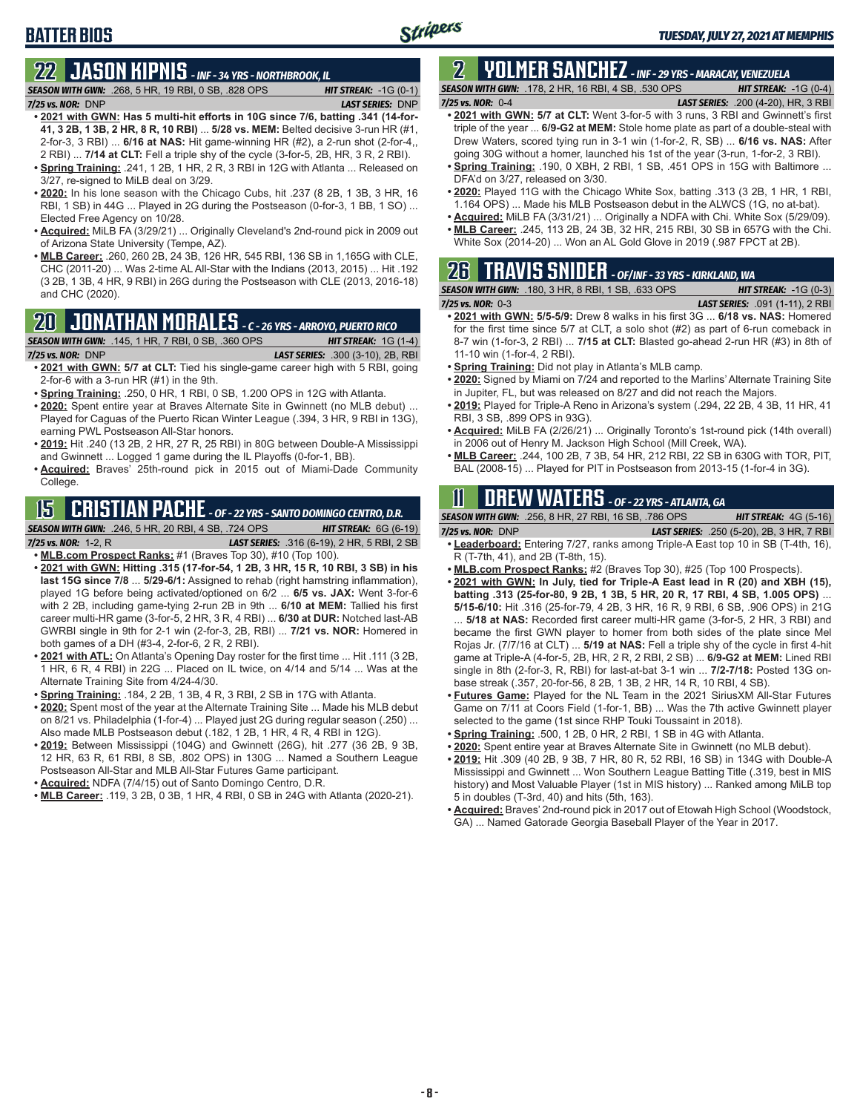# **BATTER BIOS**

# **22 JASON KIPNIS** *- INF - 34 YRS - NORTHBROOK, IL*

*SEASON WITH GWN:*.268, 5 HR, 19 RBI, 0 SB, .828 OPS *HIT STREAK:* -1G (0-1)

*7/25 vs. NOR:*DNP *LAST SERIES:* DNP

- **• 2021 with GWN: Has 5 multi-hit efforts in 10G since 7/6, batting .341 (14-for-41, 3 2B, 1 3B, 2 HR, 8 R, 10 RBI)** ... **5/28 vs. MEM:** Belted decisive 3-run HR (#1, 2-for-3, 3 RBI) ... **6/16 at NAS:** Hit game-winning HR (#2), a 2-run shot (2-for-4,, 2 RBI) ... **7/14 at CLT:** Fell a triple shy of the cycle (3-for-5, 2B, HR, 3 R, 2 RBI).
- **• Spring Training:** .241, 1 2B, 1 HR, 2 R, 3 RBI in 12G with Atlanta ... Released on 3/27, re-signed to MiLB deal on 3/29.
- **• 2020:** In his lone season with the Chicago Cubs, hit .237 (8 2B, 1 3B, 3 HR, 16 RBI, 1 SB) in 44G ... Played in 2G during the Postseason (0-for-3, 1 BB, 1 SO) ... Elected Free Agency on 10/28.
- **• Acquired:** MiLB FA (3/29/21) ... Originally Cleveland's 2nd-round pick in 2009 out of Arizona State University (Tempe, AZ).
- **• MLB Career:** .260, 260 2B, 24 3B, 126 HR, 545 RBI, 136 SB in 1,165G with CLE, CHC (2011-20) ... Was 2-time AL All-Star with the Indians (2013, 2015) ... Hit .192 (3 2B, 1 3B, 4 HR, 9 RBI) in 26G during the Postseason with CLE (2013, 2016-18) and CHC (2020).

### **20 JONATHAN MORALES** *- C - 26 YRS - ARROYO, PUERTO RICO*

*SEASON WITH GWN:*.145, 1 HR, 7 RBI, 0 SB, .360 OPS *HIT STREAK:* 1G (1-4)

*7/25 vs. NOR:*DNP *LAST SERIES:* .300 (3-10), 2B, RBI

- **• 2021 with GWN: 5/7 at CLT:** Tied his single-game career high with 5 RBI, going 2-for-6 with a 3-run HR (#1) in the 9th.
- **• Spring Training:** .250, 0 HR, 1 RBI, 0 SB, 1.200 OPS in 12G with Atlanta.
- **• 2020:** Spent entire year at Braves Alternate Site in Gwinnett (no MLB debut) ... Played for Caguas of the Puerto Rican Winter League (.394, 3 HR, 9 RBI in 13G), earning PWL Postseason All-Star honors.
- **• 2019:** Hit .240 (13 2B, 2 HR, 27 R, 25 RBI) in 80G between Double-A Mississippi and Gwinnett ... Logged 1 game during the IL Playoffs (0-for-1, BB).
- **• Acquired:** Braves' 25th-round pick in 2015 out of Miami-Dade Community College.

### **15 CRISTIAN PACHE** *- OF - 22 YRS - SANTO DOMINGO CENTRO, D.R.*

*SEASON WITH GWN:*.246, 5 HR, 20 RBI, 4 SB, .724 OPS *HIT STREAK:* 6G (6-19)

*7/25 vs. NOR:* 1-2, R *LAST SERIES:* .316 (6-19), 2 HR, 5 RBI, 2 SB

- **• MLB.com Prospect Ranks:** #1 (Braves Top 30), #10 (Top 100).
- **• 2021 with GWN: Hitting .315 (17-for-54, 1 2B, 3 HR, 15 R, 10 RBI, 3 SB) in his last 15G since 7/8** ... **5/29-6/1:** Assigned to rehab (right hamstring inflammation), played 1G before being activated/optioned on 6/2 ... **6/5 vs. JAX:** Went 3-for-6 with 2 2B, including game-tying 2-run 2B in 9th ... **6/10 at MEM:** Tallied his first career multi-HR game (3-for-5, 2 HR, 3 R, 4 RBI) ... **6/30 at DUR:** Notched last-AB GWRBI single in 9th for 2-1 win (2-for-3, 2B, RBI) ... **7/21 vs. NOR:** Homered in both games of a DH (#3-4, 2-for-6, 2 R, 2 RBI).
- **• 2021 with ATL:** On Atlanta's Opening Day roster for the first time ... Hit .111 (3 2B, 1 HR, 6 R, 4 RBI) in 22G ... Placed on IL twice, on 4/14 and 5/14 ... Was at the Alternate Training Site from 4/24-4/30.
- **• Spring Training:** .184, 2 2B, 1 3B, 4 R, 3 RBI, 2 SB in 17G with Atlanta.
- **• 2020:** Spent most of the year at the Alternate Training Site ... Made his MLB debut on 8/21 vs. Philadelphia (1-for-4) ... Played just 2G during regular season (.250) ... Also made MLB Postseason debut (.182, 1 2B, 1 HR, 4 R, 4 RBI in 12G).
- **• 2019:** Between Mississippi (104G) and Gwinnett (26G), hit .277 (36 2B, 9 3B, 12 HR, 63 R, 61 RBI, 8 SB, .802 OPS) in 130G ... Named a Southern League Postseason All-Star and MLB All-Star Futures Game participant.
- **• Acquired:** NDFA (7/4/15) out of Santo Domingo Centro, D.R.
- **• MLB Career:** .119, 3 2B, 0 3B, 1 HR, 4 RBI, 0 SB in 24G with Atlanta (2020-21).

#### **2 YOLMER SANCHEZ** *- INF - 29 YRS - MARACAY, VENEZUELA SEASON WITH GWN:*.178, 2 HR, 16 RBI, 4 SB, .530 OPS *HIT STREAK:* -1G (0-4)

- *7/25 vs. NOR:*0-4 *LAST SERIES:* .200 (4-20), HR, 3 RBI **• 2021 with GWN: 5/7 at CLT:** Went 3-for-5 with 3 runs, 3 RBI and Gwinnett's first triple of the year ... **6/9-G2 at MEM:** Stole home plate as part of a double-steal with Drew Waters, scored tying run in 3-1 win (1-for-2, R, SB) ... **6/16 vs. NAS:** After going 30G without a homer, launched his 1st of the year (3-run, 1-for-2, 3 RBI).
- **• Spring Training:** .190, 0 XBH, 2 RBI, 1 SB, .451 OPS in 15G with Baltimore ... DFA'd on 3/27, released on 3/30.
- **• 2020:** Played 11G with the Chicago White Sox, batting .313 (3 2B, 1 HR, 1 RBI, 1.164 OPS) ... Made his MLB Postseason debut in the ALWCS (1G, no at-bat).
- **• Acquired:** MiLB FA (3/31/21) ... Originally a NDFA with Chi. White Sox (5/29/09).
- **• MLB Career:** .245, 113 2B, 24 3B, 32 HR, 215 RBI, 30 SB in 657G with the Chi. White Sox (2014-20) ... Won an AL Gold Glove in 2019 (.987 FPCT at 2B).

### **26 TRAVIS SNIDER** *- OF/INF - 33 YRS - KIRKLAND, WA SEASON WITH GWN:*.180, 3 HR, 8 RBI, 1 SB, .633 OPS *HIT STREAK:* -1G (0-3)

- *7/25 vs. NOR:* 0-3 *LAST SERIES:* .091 (1-11), 2 RBI **• 2021 with GWN: 5/5-5/9:** Drew 8 walks in his first 3G ... **6/18 vs. NAS:** Homered for the first time since 5/7 at CLT, a solo shot (#2) as part of 6-run comeback in 8-7 win (1-for-3, 2 RBI) ... **7/15 at CLT:** Blasted go-ahead 2-run HR (#3) in 8th of 11-10 win (1-for-4, 2 RBI).
- **• Spring Training:** Did not play in Atlanta's MLB camp.
- **• 2020:** Signed by Miami on 7/24 and reported to the Marlins' Alternate Training Site in Jupiter, FL, but was released on 8/27 and did not reach the Majors.
- **• 2019:** Played for Triple-A Reno in Arizona's system (.294, 22 2B, 4 3B, 11 HR, 41 RBI, 3 SB, .899 OPS in 93G).
- **• Acquired:** MiLB FA (2/26/21) ... Originally Toronto's 1st-round pick (14th overall) in 2006 out of Henry M. Jackson High School (Mill Creek, WA).
- **• MLB Career:** .244, 100 2B, 7 3B, 54 HR, 212 RBI, 22 SB in 630G with TOR, PIT, BAL (2008-15) ... Played for PIT in Postseason from 2013-15 (1-for-4 in 3G).

# **11 Drew WATERS** *- OF - 22 YRS - ATLANTA, GA*

|                     | <b>SEASON WITH GWN:</b> .256, 8 HR, 27 RBI, 16 SB, .786 OPS | <b>HIT STREAK:</b> $4G(5-16)$                    |
|---------------------|-------------------------------------------------------------|--------------------------------------------------|
| $7/25$ vs. NOR: DNP |                                                             | <b>LAST SERIES:</b> .250 (5-20), 2B, 3 HR, 7 RBI |
|                     | .                                                           |                                                  |

- **• Leaderboard:** Entering 7/27, ranks among Triple-A East top 10 in SB (T-4th, 16), R (T-7th, 41), and 2B (T-8th, 15).
- **• MLB.com Prospect Ranks:** #2 (Braves Top 30), #25 (Top 100 Prospects).
- **• 2021 with GWN: In July, tied for Triple-A East lead in R (20) and XBH (15), batting .313 (25-for-80, 9 2B, 1 3B, 5 HR, 20 R, 17 RBI, 4 SB, 1.005 OPS)** ... **5/15-6/10:** Hit .316 (25-for-79, 4 2B, 3 HR, 16 R, 9 RBI, 6 SB, .906 OPS) in 21G ... **5/18 at NAS:** Recorded first career multi-HR game (3-for-5, 2 HR, 3 RBI) and became the first GWN player to homer from both sides of the plate since Mel Rojas Jr. (7/7/16 at CLT) ... **5/19 at NAS:** Fell a triple shy of the cycle in first 4-hit game at Triple-A (4-for-5, 2B, HR, 2 R, 2 RBI, 2 SB) ... **6/9-G2 at MEM:** Lined RBI single in 8th (2-for-3, R, RBI) for last-at-bat 3-1 win ... **7/2-7/18:** Posted 13G onbase streak (.357, 20-for-56, 8 2B, 1 3B, 2 HR, 14 R, 10 RBI, 4 SB).
- **• Futures Game:** Played for the NL Team in the 2021 SiriusXM All-Star Futures Game on 7/11 at Coors Field (1-for-1, BB) ... Was the 7th active Gwinnett player selected to the game (1st since RHP Touki Toussaint in 2018).
- **• Spring Training:** .500, 1 2B, 0 HR, 2 RBI, 1 SB in 4G with Atlanta.
- **• 2020:** Spent entire year at Braves Alternate Site in Gwinnett (no MLB debut).
- **• 2019:** Hit .309 (40 2B, 9 3B, 7 HR, 80 R, 52 RBI, 16 SB) in 134G with Double-A Mississippi and Gwinnett ... Won Southern League Batting Title (.319, best in MIS history) and Most Valuable Player (1st in MIS history) ... Ranked among MiLB top 5 in doubles (T-3rd, 40) and hits (5th, 163).
- **• Acquired:** Braves' 2nd-round pick in 2017 out of Etowah High School (Woodstock, GA) ... Named Gatorade Georgia Baseball Player of the Year in 2017.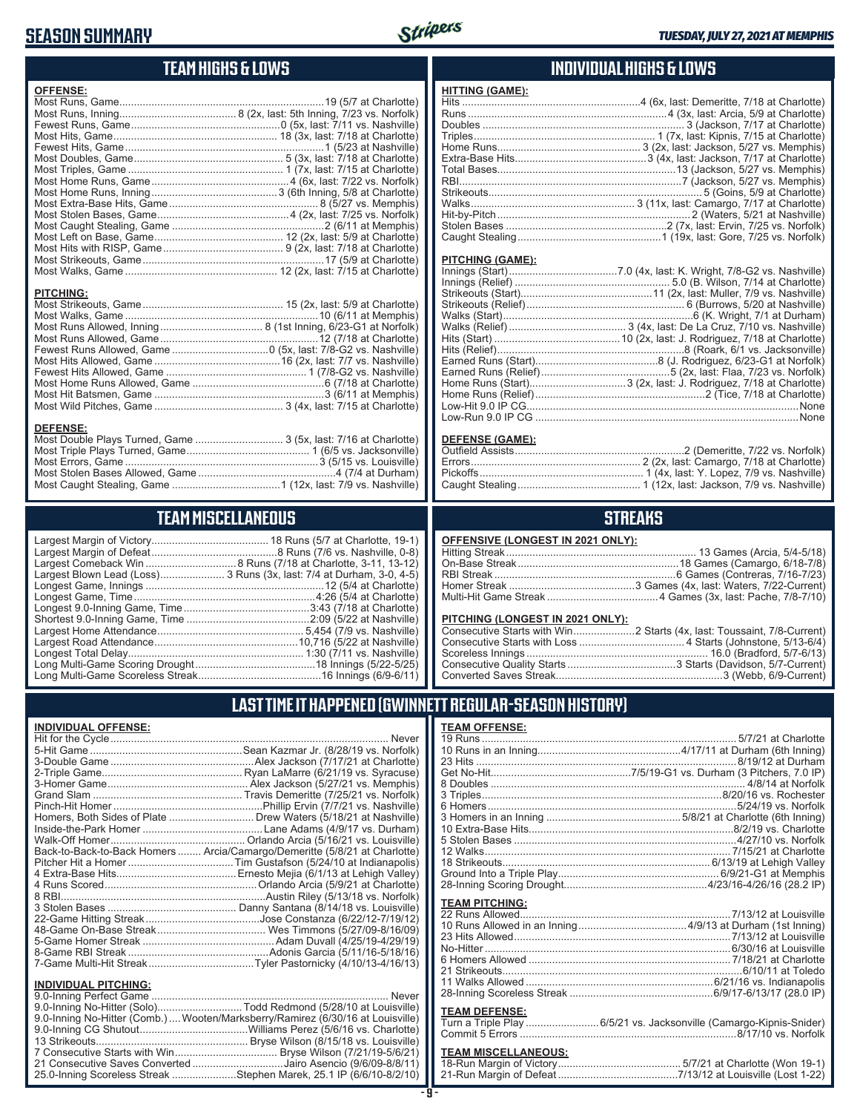### **SEASON SUMMARY**

**DEFENSE:**



#### **TEAM HIGHS & LOWS**

| <b>OFFENSE:</b>  |  |
|------------------|--|
|                  |  |
|                  |  |
|                  |  |
|                  |  |
|                  |  |
|                  |  |
|                  |  |
|                  |  |
|                  |  |
|                  |  |
|                  |  |
|                  |  |
|                  |  |
|                  |  |
|                  |  |
|                  |  |
|                  |  |
| <b>PITCHING:</b> |  |
|                  |  |
|                  |  |

Most Runs Allowed, Inning ................................... 8 (1st Inning, 6/23-G1 at Norfolk) Most Runs Allowed, Game ......................................................12 (7/18 at Charlotte) Fewest Runs Allowed, Game .................................0 (5x, last: 7/8-G2 vs. Nashville) Most Hits Allowed, Game ...........................................16 (2x, last: 7/7 vs. Nashville) Fewest Hits Allowed, Game ................................................ 1 (7/8-G2 vs. Nashville) Most Home Runs Allowed, Game .............................................6 (7/18 at Charlotte) Most Hit Batsmen, Game ..........................................................3 (6/11 at Memphis) Most Wild Pitches, Game ............................................ 3 (4x, last: 7/15 at Charlotte)

Most Double Plays Turned, Game .............................. 3 (5x, last: 7/16 at Charlotte) Most Triple Plays Turned, Game .......................................... 1 (6/5 vs. Jacksonville) Most Errors, Game ..................................................................3 (5/15 vs. Louisville) Most Stolen Bases Allowed, Game ...............................................4 (7/4 at Durham) Most Caught Stealing, Game .....................................1 (12x, last: 7/9 vs. Nashville)

**TEAM MISCELLANEOUS** Largest Margin of Victory........................................ 18 Runs (5/7 at Charlotte, 19-1) Largest Margin of Defeat ...........................................8 Runs (7/6 vs. Nashville, 0-8) Largest Comeback Win ...............................8 Runs (7/18 at Charlotte, 3-11, 13-12) Largest Blown Lead (Loss)...................... 3 Runs (3x, last: 7/4 at Durham, 3-0, 4-5) Longest Game, Innings .............................................................12 (5/4 at Charlotte) Longest Game, Time ..............................................................4:26 (5/4 at Charlotte) Longest 9.0-Inning Game, Time ...........................................3:43 (7/18 at Charlotte) Shortest 9.0-Inning Game, Time ..........................................2:09 (5/22 at Nashville) Largest Home Attendance .................................................. 5,454 (7/9 vs. Nashville) Largest Road Attendance .................................................10,716 (5/22 at Nashville) Longest Total Delay............................................................ 1:30 (7/11 vs. Nashville) Long Multi-Game Scoring Drought .........................................18 Innings (5/22-5/25) Long Multi-Game Scoreless Streak ..........................................16 Innings (6/9-6/11)

#### **INDIVIDUAL HIGHS & LOWS**

| FIIIINU (UAME). |  |
|-----------------|--|
|                 |  |
|                 |  |
|                 |  |
|                 |  |
|                 |  |
|                 |  |
|                 |  |
|                 |  |
|                 |  |
|                 |  |
|                 |  |
|                 |  |
|                 |  |
|                 |  |

#### **PITCHING (GAME):**

**HITTING (GAME):**

#### **DEFENSE (GAME):**

#### **STREAKS**

#### **OFFENSIVE (LONGEST IN 2021 ONLY):**

#### **PITCHING (LONGEST IN 2021 ONLY):**

#### **LAST TIME IT HAPPENED (GWINNETT REGULAR-SEASON HISTORY) TEAM OFFENSE:**

| INDIVIDUAL OFFENSE:         |                                                                            | <b>TEAM OFFENSE:</b>          |                      |
|-----------------------------|----------------------------------------------------------------------------|-------------------------------|----------------------|
|                             |                                                                            |                               |                      |
|                             |                                                                            |                               |                      |
|                             |                                                                            |                               |                      |
|                             |                                                                            |                               |                      |
|                             |                                                                            |                               |                      |
|                             |                                                                            |                               |                      |
|                             |                                                                            |                               |                      |
|                             | Homers, Both Sides of Plate  Drew Waters (5/18/21 at Nashville)            |                               |                      |
|                             |                                                                            |                               |                      |
|                             |                                                                            |                               |                      |
|                             | Back-to-Back-to-Back Homers  Arcia/Camargo/Demeritte (5/8/21 at Charlotte) |                               |                      |
|                             |                                                                            |                               |                      |
|                             |                                                                            |                               |                      |
|                             |                                                                            |                               |                      |
|                             |                                                                            | <b>TEAM PITCHING:</b>         |                      |
|                             |                                                                            |                               |                      |
|                             |                                                                            |                               |                      |
|                             |                                                                            |                               |                      |
|                             |                                                                            |                               |                      |
|                             |                                                                            |                               |                      |
|                             |                                                                            |                               |                      |
|                             |                                                                            |                               |                      |
| <b>INDIVIDUAL PITCHING:</b> |                                                                            | 00 Institute Constant Cheaple | (0.0147.0147.00.010) |

#### **INDIVIDUAL PITCHING:**<br>9.0-Inning Perfect Game ................................... 9.0-Inning Perfect Game ................................................................................. Never 9.0-Inning No-Hitter (Solo).............................Todd Redmond (5/28/10 at Louisville) 9.0-Inning No-Hitter (Comb.)....Wooten/Marksberry/Ramirez (6/30/16 at Louisville) 9.0-Inning CG Shutout.....................................Williams Perez (5/6/16 vs. Charlotte) 13 Strikeouts.................................................... Bryse Wilson (8/15/18 vs. Louisville) 7 Consecutive Starts with Win ................................... Bryse Wilson (7/21/19-5/6/21) 21 Consecutive Saves Converted ...............................Jairo Asencio (9/6/09-8/8/11) 25.0-Inning Scoreless Streak ......................Stephen Marek, 25.1 IP (6/6/10-8/2/10)

# 28-Inning Scoreless Streak .................................................6/9/17-6/13/17 (28.0 IP) **TEAM DEFENSE:**

| Turn a Triple Play 6/5/21 vs. Jacksonville (Camargo-Kipnis-Snider) |  |
|--------------------------------------------------------------------|--|
|                                                                    |  |
|                                                                    |  |

### **TEAM MISCELLANEOUS:**<br>18-Run Margin of Victory....